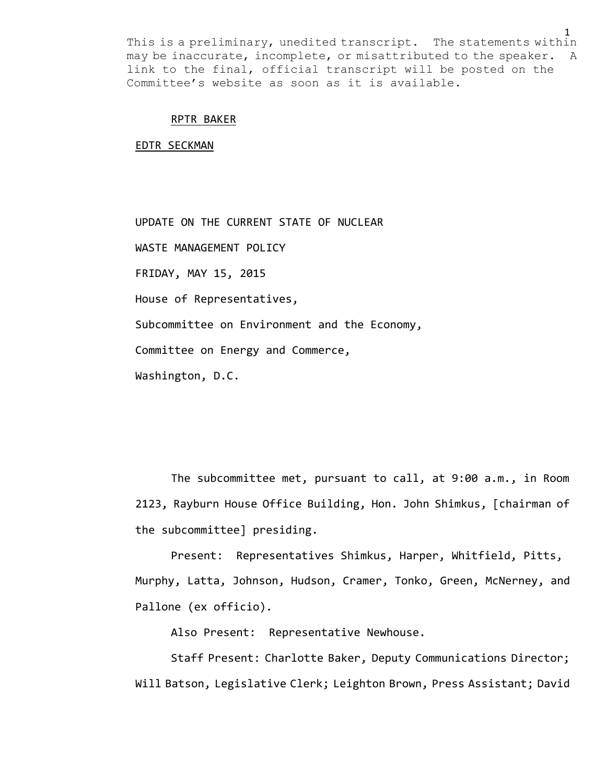#### RPTR BAKER

EDTR SECKMAN

UPDATE ON THE CURRENT STATE OF NUCLEAR

WASTE MANAGEMENT POLICY

FRIDAY, MAY 15, 2015

House of Representatives,

Subcommittee on Environment and the Economy,

Committee on Energy and Commerce,

Washington, D.C.

The subcommittee met, pursuant to call, at 9:00 a.m., in Room 2123, Rayburn House Office Building, Hon. John Shimkus, [chairman of the subcommittee] presiding.

Present: Representatives Shimkus, Harper, Whitfield, Pitts, Murphy, Latta, Johnson, Hudson, Cramer, Tonko, Green, McNerney, and Pallone (ex officio).

Also Present: Representative Newhouse.

Staff Present: Charlotte Baker, Deputy Communications Director; Will Batson, Legislative Clerk; Leighton Brown, Press Assistant; David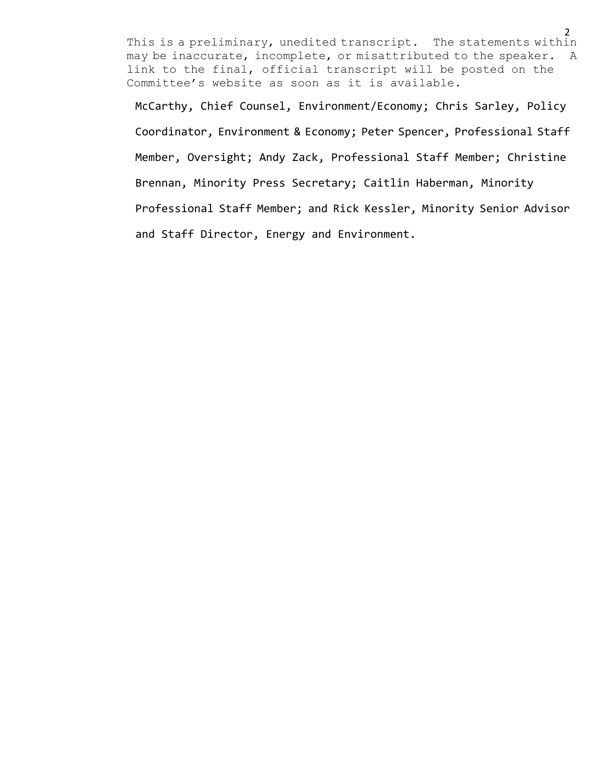2

McCarthy, Chief Counsel, Environment/Economy; Chris Sarley, Policy Coordinator, Environment & Economy; Peter Spencer, Professional Staff Member, Oversight; Andy Zack, Professional Staff Member; Christine Brennan, Minority Press Secretary; Caitlin Haberman, Minority Professional Staff Member; and Rick Kessler, Minority Senior Advisor and Staff Director, Energy and Environment.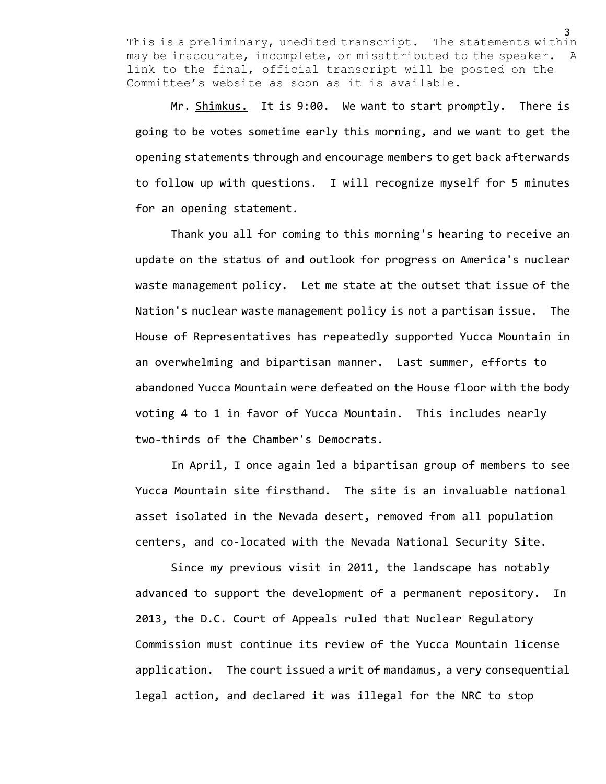Mr. Shimkus. It is 9:00. We want to start promptly. There is going to be votes sometime early this morning, and we want to get the opening statements through and encourage members to get back afterwards to follow up with questions. I will recognize myself for 5 minutes for an opening statement.

Thank you all for coming to this morning's hearing to receive an update on the status of and outlook for progress on America's nuclear waste management policy. Let me state at the outset that issue of the Nation's nuclear waste management policy is not a partisan issue. The House of Representatives has repeatedly supported Yucca Mountain in an overwhelming and bipartisan manner. Last summer, efforts to abandoned Yucca Mountain were defeated on the House floor with the body voting 4 to 1 in favor of Yucca Mountain. This includes nearly two-thirds of the Chamber's Democrats.

In April, I once again led a bipartisan group of members to see Yucca Mountain site firsthand. The site is an invaluable national asset isolated in the Nevada desert, removed from all population centers, and co-located with the Nevada National Security Site.

Since my previous visit in 2011, the landscape has notably advanced to support the development of a permanent repository. In 2013, the D.C. Court of Appeals ruled that Nuclear Regulatory Commission must continue its review of the Yucca Mountain license application. The court issued a writ of mandamus, a very consequential legal action, and declared it was illegal for the NRC to stop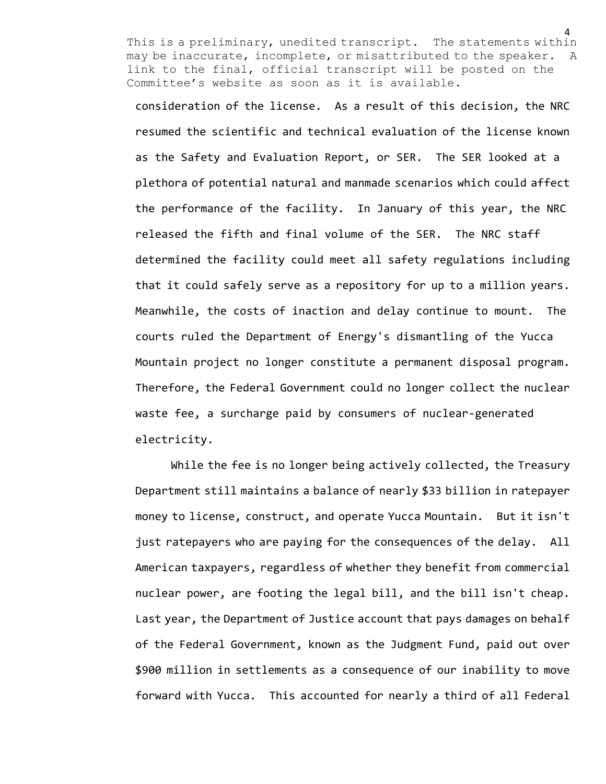consideration of the license. As a result of this decision, the NRC resumed the scientific and technical evaluation of the license known as the Safety and Evaluation Report, or SER. The SER looked at a plethora of potential natural and manmade scenarios which could affect the performance of the facility. In January of this year, the NRC released the fifth and final volume of the SER. The NRC staff determined the facility could meet all safety regulations including that it could safely serve as a repository for up to a million years. Meanwhile, the costs of inaction and delay continue to mount. The courts ruled the Department of Energy's dismantling of the Yucca Mountain project no longer constitute a permanent disposal program. Therefore, the Federal Government could no longer collect the nuclear waste fee, a surcharge paid by consumers of nuclear-generated electricity.

While the fee is no longer being actively collected, the Treasury Department still maintains a balance of nearly \$33 billion in ratepayer money to license, construct, and operate Yucca Mountain. But it isn't just ratepayers who are paying for the consequences of the delay. All American taxpayers, regardless of whether they benefit from commercial nuclear power, are footing the legal bill, and the bill isn't cheap. Last year, the Department of Justice account that pays damages on behalf of the Federal Government, known as the Judgment Fund, paid out over \$900 million in settlements as a consequence of our inability to move forward with Yucca. This accounted for nearly a third of all Federal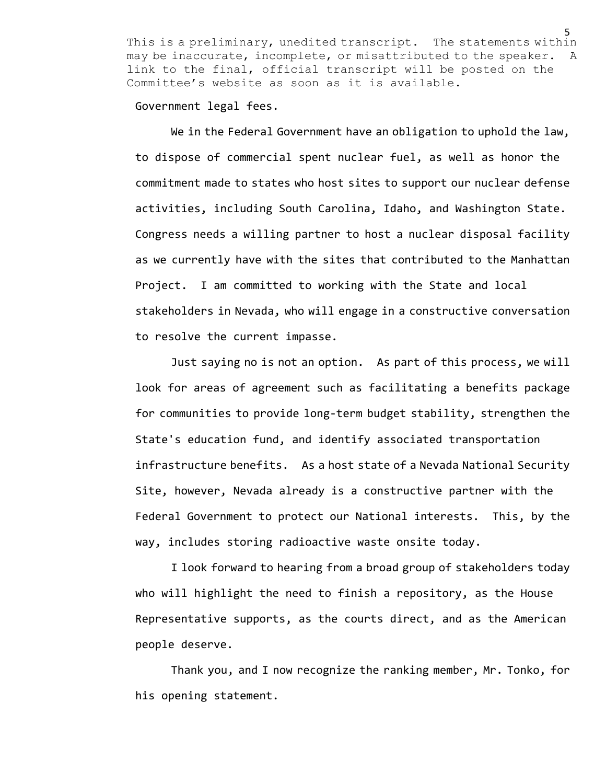Government legal fees.

We in the Federal Government have an obligation to uphold the law, to dispose of commercial spent nuclear fuel, as well as honor the commitment made to states who host sites to support our nuclear defense activities, including South Carolina, Idaho, and Washington State. Congress needs a willing partner to host a nuclear disposal facility as we currently have with the sites that contributed to the Manhattan Project. I am committed to working with the State and local stakeholders in Nevada, who will engage in a constructive conversation to resolve the current impasse.

Just saying no is not an option. As part of this process, we will look for areas of agreement such as facilitating a benefits package for communities to provide long-term budget stability, strengthen the State's education fund, and identify associated transportation infrastructure benefits. As a host state of a Nevada National Security Site, however, Nevada already is a constructive partner with the Federal Government to protect our National interests. This, by the way, includes storing radioactive waste onsite today.

I look forward to hearing from a broad group of stakeholders today who will highlight the need to finish a repository, as the House Representative supports, as the courts direct, and as the American people deserve.

Thank you, and I now recognize the ranking member, Mr. Tonko, for his opening statement.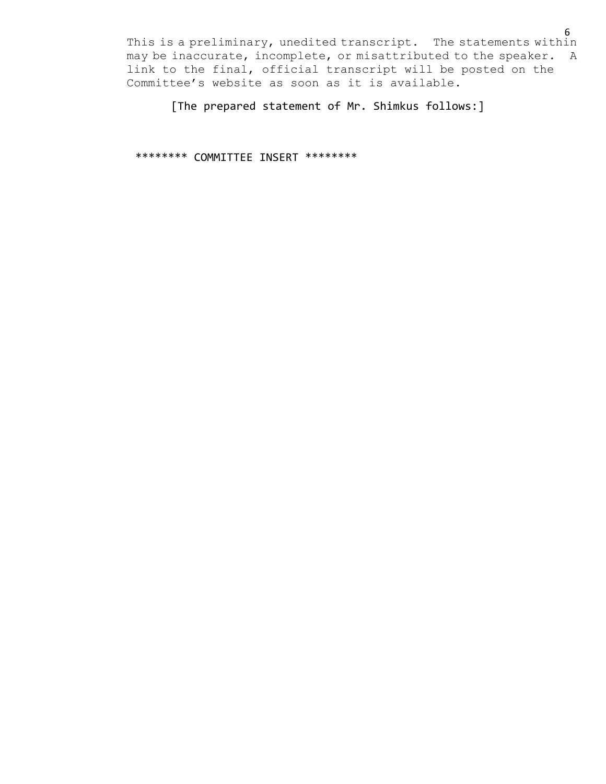[The prepared statement of Mr. Shimkus follows:]

\*\*\*\*\*\*\*\* COMMITTEE INSERT \*\*\*\*\*\*\*\*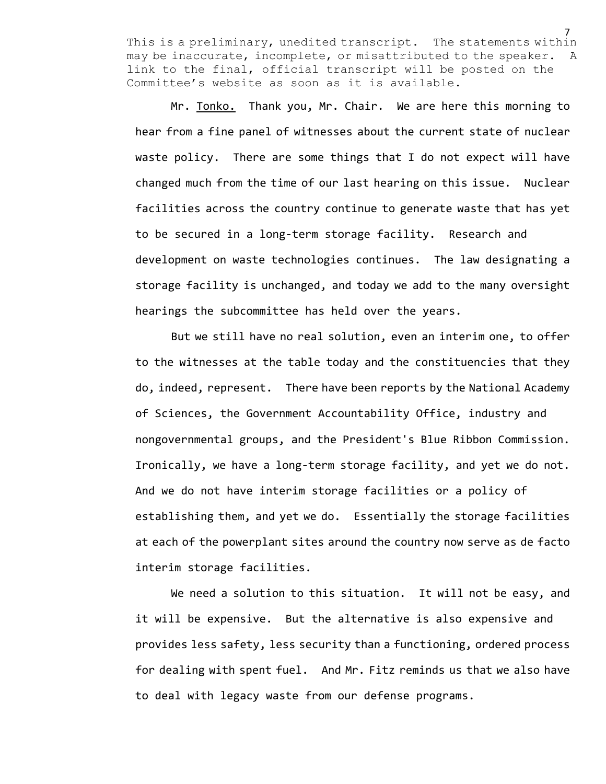Mr. Tonko. Thank you, Mr. Chair. We are here this morning to hear from a fine panel of witnesses about the current state of nuclear waste policy. There are some things that I do not expect will have changed much from the time of our last hearing on this issue. Nuclear facilities across the country continue to generate waste that has yet to be secured in a long-term storage facility. Research and development on waste technologies continues. The law designating a storage facility is unchanged, and today we add to the many oversight hearings the subcommittee has held over the years.

But we still have no real solution, even an interim one, to offer to the witnesses at the table today and the constituencies that they do, indeed, represent. There have been reports by the National Academy of Sciences, the Government Accountability Office, industry and nongovernmental groups, and the President's Blue Ribbon Commission. Ironically, we have a long-term storage facility, and yet we do not. And we do not have interim storage facilities or a policy of establishing them, and yet we do. Essentially the storage facilities at each of the powerplant sites around the country now serve as de facto interim storage facilities.

We need a solution to this situation. It will not be easy, and it will be expensive. But the alternative is also expensive and provides less safety, less security than a functioning, ordered process for dealing with spent fuel. And Mr. Fitz reminds us that we also have to deal with legacy waste from our defense programs.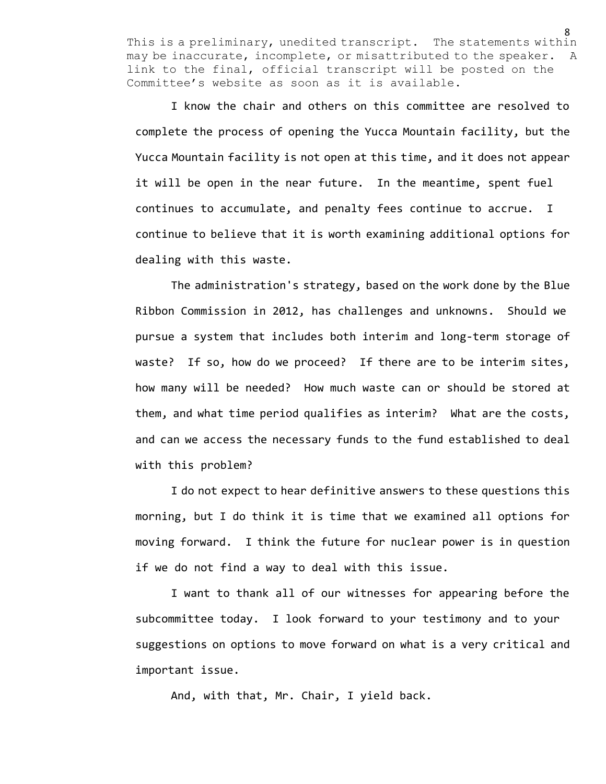I know the chair and others on this committee are resolved to complete the process of opening the Yucca Mountain facility, but the Yucca Mountain facility is not open at this time, and it does not appear it will be open in the near future. In the meantime, spent fuel continues to accumulate, and penalty fees continue to accrue. I continue to believe that it is worth examining additional options for dealing with this waste.

The administration's strategy, based on the work done by the Blue Ribbon Commission in 2012, has challenges and unknowns. Should we pursue a system that includes both interim and long-term storage of waste? If so, how do we proceed? If there are to be interim sites, how many will be needed? How much waste can or should be stored at them, and what time period qualifies as interim? What are the costs, and can we access the necessary funds to the fund established to deal with this problem?

I do not expect to hear definitive answers to these questions this morning, but I do think it is time that we examined all options for moving forward. I think the future for nuclear power is in question if we do not find a way to deal with this issue.

I want to thank all of our witnesses for appearing before the subcommittee today. I look forward to your testimony and to your suggestions on options to move forward on what is a very critical and important issue.

And, with that, Mr. Chair, I yield back.

<sup>8</sup>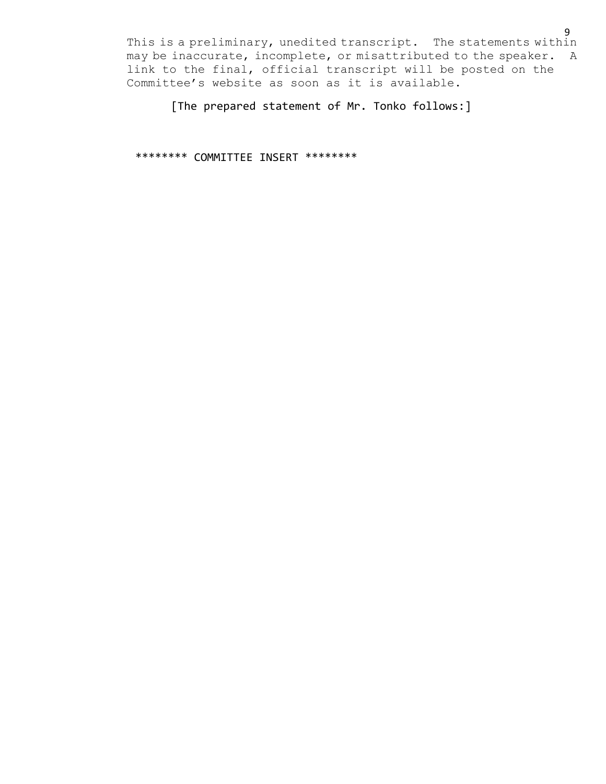[The prepared statement of Mr. Tonko follows:]

\*\*\*\*\*\*\*\* COMMITTEE INSERT \*\*\*\*\*\*\*\*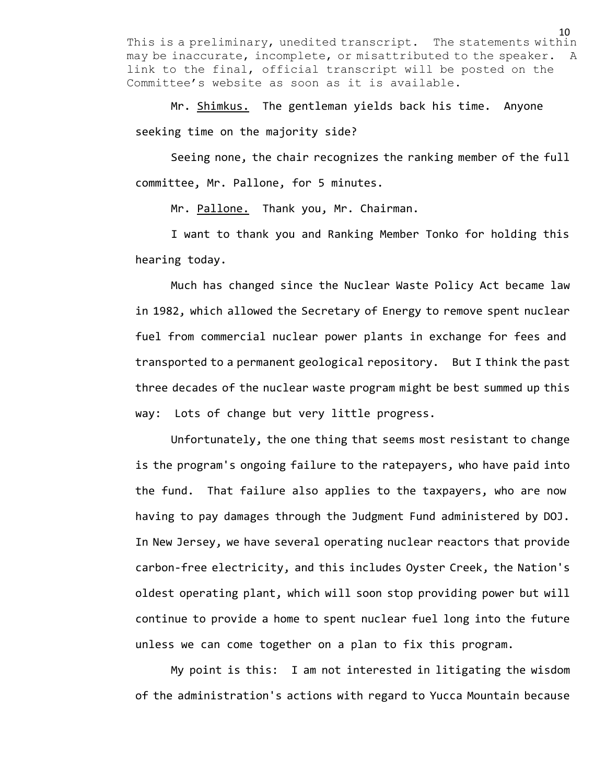Mr. Shimkus. The gentleman yields back his time. Anyone seeking time on the majority side?

Seeing none, the chair recognizes the ranking member of the full committee, Mr. Pallone, for 5 minutes.

Mr. Pallone. Thank you, Mr. Chairman.

I want to thank you and Ranking Member Tonko for holding this hearing today.

Much has changed since the Nuclear Waste Policy Act became law in 1982, which allowed the Secretary of Energy to remove spent nuclear fuel from commercial nuclear power plants in exchange for fees and transported to a permanent geological repository. But I think the past three decades of the nuclear waste program might be best summed up this way: Lots of change but very little progress.

Unfortunately, the one thing that seems most resistant to change is the program's ongoing failure to the ratepayers, who have paid into the fund. That failure also applies to the taxpayers, who are now having to pay damages through the Judgment Fund administered by DOJ. In New Jersey, we have several operating nuclear reactors that provide carbon-free electricity, and this includes Oyster Creek, the Nation's oldest operating plant, which will soon stop providing power but will continue to provide a home to spent nuclear fuel long into the future unless we can come together on a plan to fix this program.

My point is this: I am not interested in litigating the wisdom of the administration's actions with regard to Yucca Mountain because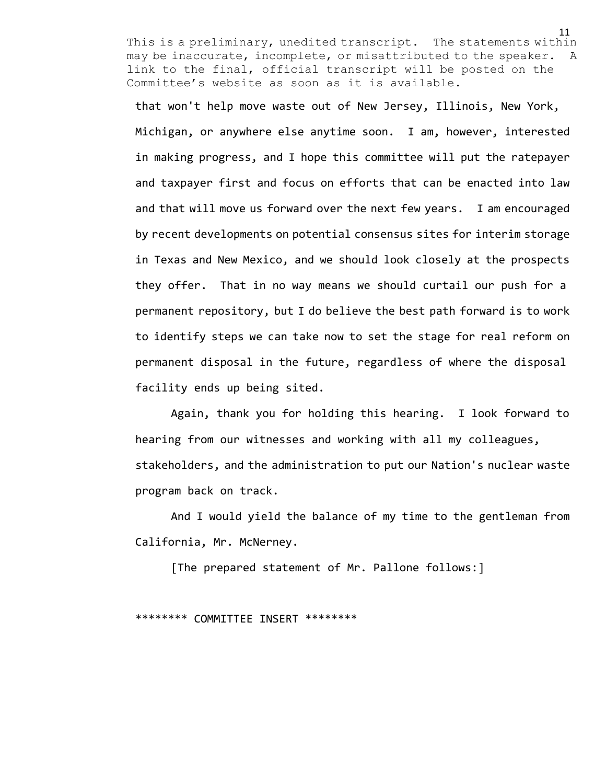that won't help move waste out of New Jersey, Illinois, New York, Michigan, or anywhere else anytime soon. I am, however, interested in making progress, and I hope this committee will put the ratepayer and taxpayer first and focus on efforts that can be enacted into law and that will move us forward over the next few years. I am encouraged by recent developments on potential consensus sites for interim storage in Texas and New Mexico, and we should look closely at the prospects they offer. That in no way means we should curtail our push for a permanent repository, but I do believe the best path forward is to work to identify steps we can take now to set the stage for real reform on permanent disposal in the future, regardless of where the disposal facility ends up being sited.

Again, thank you for holding this hearing. I look forward to hearing from our witnesses and working with all my colleagues, stakeholders, and the administration to put our Nation's nuclear waste program back on track.

And I would yield the balance of my time to the gentleman from California, Mr. McNerney.

[The prepared statement of Mr. Pallone follows:]

#### \*\*\*\*\*\*\*\* COMMITTEE INSERT \*\*\*\*\*\*\*\*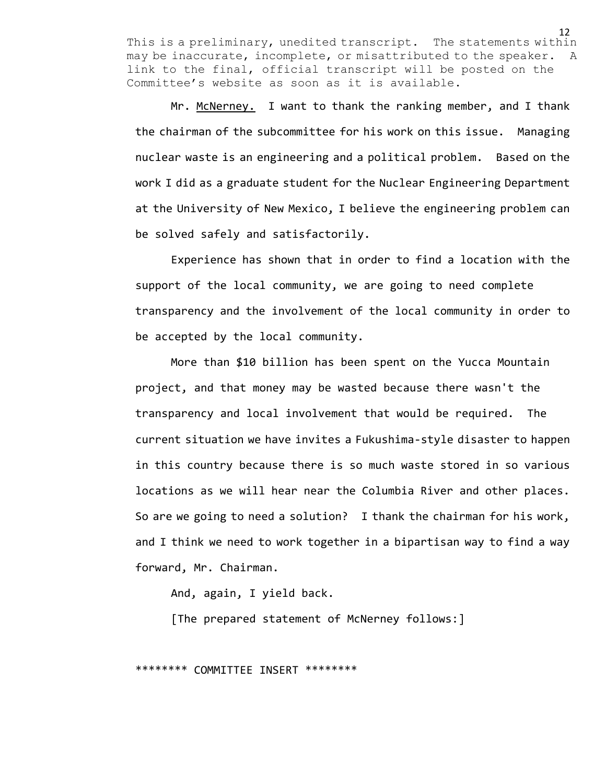Mr. McNerney. I want to thank the ranking member, and I thank the chairman of the subcommittee for his work on this issue. Managing nuclear waste is an engineering and a political problem. Based on the work I did as a graduate student for the Nuclear Engineering Department at the University of New Mexico, I believe the engineering problem can be solved safely and satisfactorily.

Experience has shown that in order to find a location with the support of the local community, we are going to need complete transparency and the involvement of the local community in order to be accepted by the local community.

More than \$10 billion has been spent on the Yucca Mountain project, and that money may be wasted because there wasn't the transparency and local involvement that would be required. The current situation we have invites a Fukushima-style disaster to happen in this country because there is so much waste stored in so various locations as we will hear near the Columbia River and other places. So are we going to need a solution? I thank the chairman for his work, and I think we need to work together in a bipartisan way to find a way forward, Mr. Chairman.

And, again, I yield back.

[The prepared statement of McNerney follows:]

\*\*\*\*\*\*\*\* COMMITTEE INSERT \*\*\*\*\*\*\*\*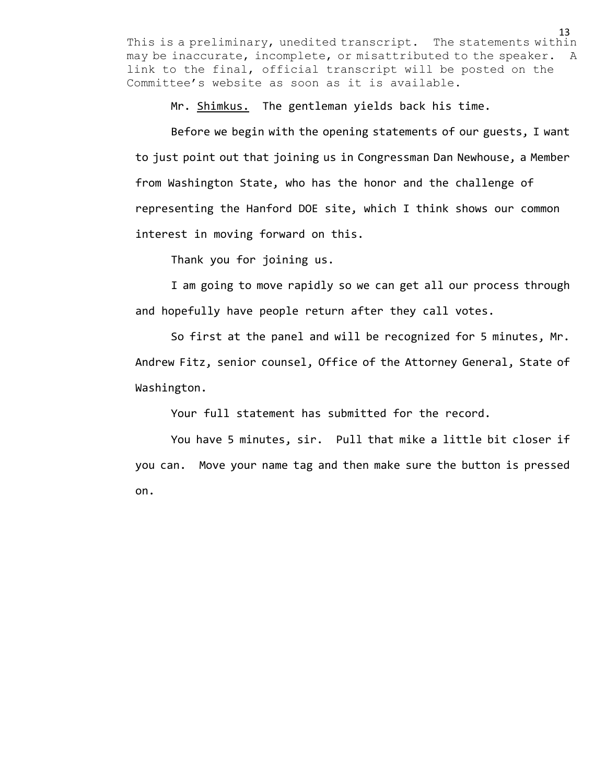Mr. Shimkus. The gentleman yields back his time.

Before we begin with the opening statements of our guests, I want to just point out that joining us in Congressman Dan Newhouse, a Member from Washington State, who has the honor and the challenge of representing the Hanford DOE site, which I think shows our common interest in moving forward on this.

Thank you for joining us.

I am going to move rapidly so we can get all our process through and hopefully have people return after they call votes.

So first at the panel and will be recognized for 5 minutes, Mr. Andrew Fitz, senior counsel, Office of the Attorney General, State of Washington.

Your full statement has submitted for the record.

You have 5 minutes, sir. Pull that mike a little bit closer if you can. Move your name tag and then make sure the button is pressed on.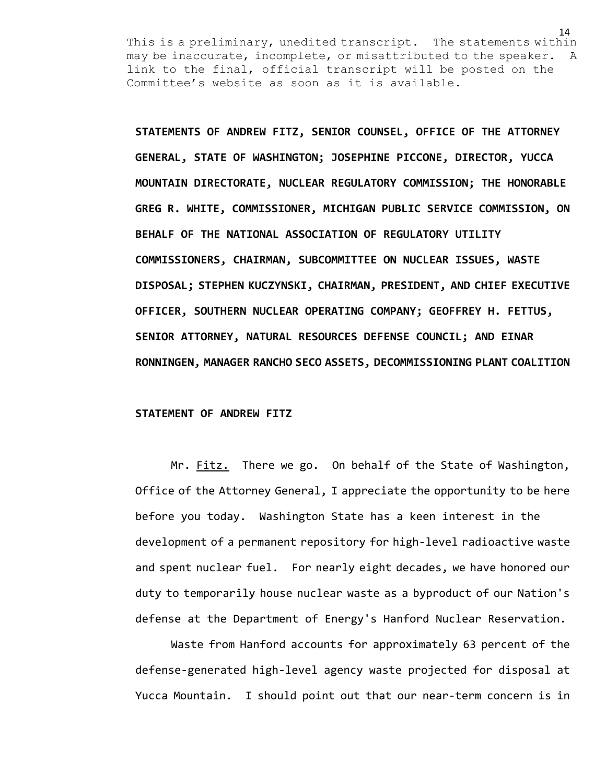**STATEMENTS OF ANDREW FITZ, SENIOR COUNSEL, OFFICE OF THE ATTORNEY GENERAL, STATE OF WASHINGTON; JOSEPHINE PICCONE, DIRECTOR, YUCCA MOUNTAIN DIRECTORATE, NUCLEAR REGULATORY COMMISSION; THE HONORABLE GREG R. WHITE, COMMISSIONER, MICHIGAN PUBLIC SERVICE COMMISSION, ON BEHALF OF THE NATIONAL ASSOCIATION OF REGULATORY UTILITY COMMISSIONERS, CHAIRMAN, SUBCOMMITTEE ON NUCLEAR ISSUES, WASTE DISPOSAL; STEPHEN KUCZYNSKI, CHAIRMAN, PRESIDENT, AND CHIEF EXECUTIVE OFFICER, SOUTHERN NUCLEAR OPERATING COMPANY; GEOFFREY H. FETTUS, SENIOR ATTORNEY, NATURAL RESOURCES DEFENSE COUNCIL; AND EINAR RONNINGEN, MANAGER RANCHO SECO ASSETS, DECOMMISSIONING PLANT COALITION**

# **STATEMENT OF ANDREW FITZ**

Mr. Fitz. There we go. On behalf of the State of Washington, Office of the Attorney General, I appreciate the opportunity to be here before you today. Washington State has a keen interest in the development of a permanent repository for high-level radioactive waste and spent nuclear fuel. For nearly eight decades, we have honored our duty to temporarily house nuclear waste as a byproduct of our Nation's defense at the Department of Energy's Hanford Nuclear Reservation.

Waste from Hanford accounts for approximately 63 percent of the defense-generated high-level agency waste projected for disposal at Yucca Mountain. I should point out that our near-term concern is in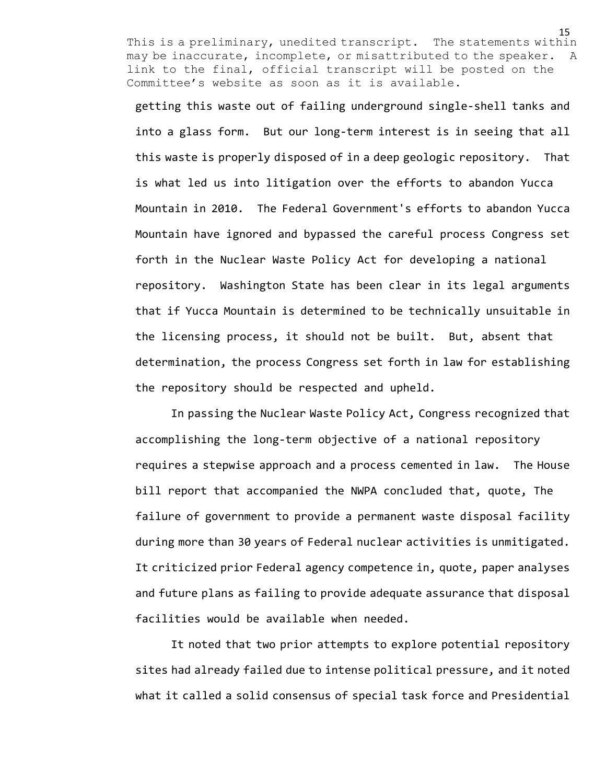getting this waste out of failing underground single-shell tanks and into a glass form. But our long-term interest is in seeing that all this waste is properly disposed of in a deep geologic repository. That is what led us into litigation over the efforts to abandon Yucca Mountain in 2010. The Federal Government's efforts to abandon Yucca Mountain have ignored and bypassed the careful process Congress set forth in the Nuclear Waste Policy Act for developing a national repository. Washington State has been clear in its legal arguments that if Yucca Mountain is determined to be technically unsuitable in the licensing process, it should not be built. But, absent that determination, the process Congress set forth in law for establishing the repository should be respected and upheld.

In passing the Nuclear Waste Policy Act, Congress recognized that accomplishing the long-term objective of a national repository requires a stepwise approach and a process cemented in law. The House bill report that accompanied the NWPA concluded that, quote, The failure of government to provide a permanent waste disposal facility during more than 30 years of Federal nuclear activities is unmitigated. It criticized prior Federal agency competence in, quote, paper analyses and future plans as failing to provide adequate assurance that disposal facilities would be available when needed.

It noted that two prior attempts to explore potential repository sites had already failed due to intense political pressure, and it noted what it called a solid consensus of special task force and Presidential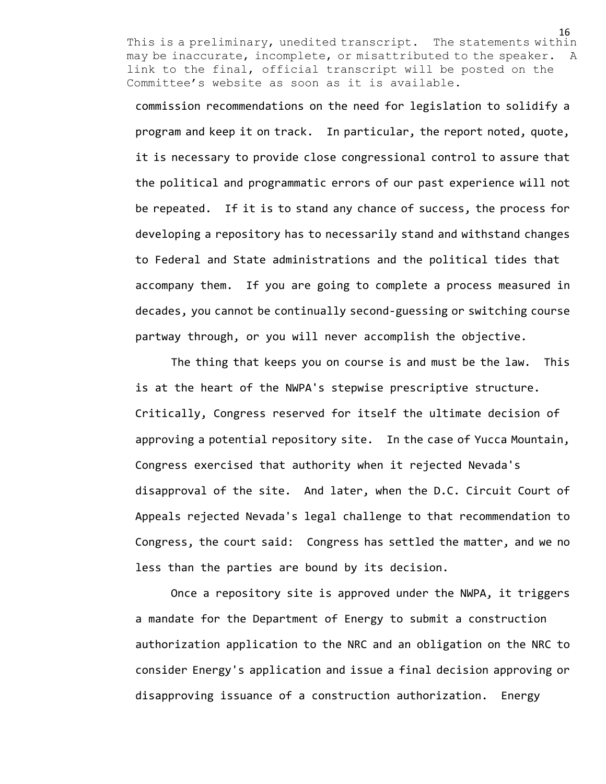commission recommendations on the need for legislation to solidify a program and keep it on track. In particular, the report noted, quote, it is necessary to provide close congressional control to assure that the political and programmatic errors of our past experience will not be repeated. If it is to stand any chance of success, the process for developing a repository has to necessarily stand and withstand changes to Federal and State administrations and the political tides that accompany them. If you are going to complete a process measured in decades, you cannot be continually second-guessing or switching course partway through, or you will never accomplish the objective.

The thing that keeps you on course is and must be the law. This is at the heart of the NWPA's stepwise prescriptive structure. Critically, Congress reserved for itself the ultimate decision of approving a potential repository site. In the case of Yucca Mountain, Congress exercised that authority when it rejected Nevada's disapproval of the site. And later, when the D.C. Circuit Court of Appeals rejected Nevada's legal challenge to that recommendation to Congress, the court said: Congress has settled the matter, and we no less than the parties are bound by its decision.

Once a repository site is approved under the NWPA, it triggers a mandate for the Department of Energy to submit a construction authorization application to the NRC and an obligation on the NRC to consider Energy's application and issue a final decision approving or disapproving issuance of a construction authorization. Energy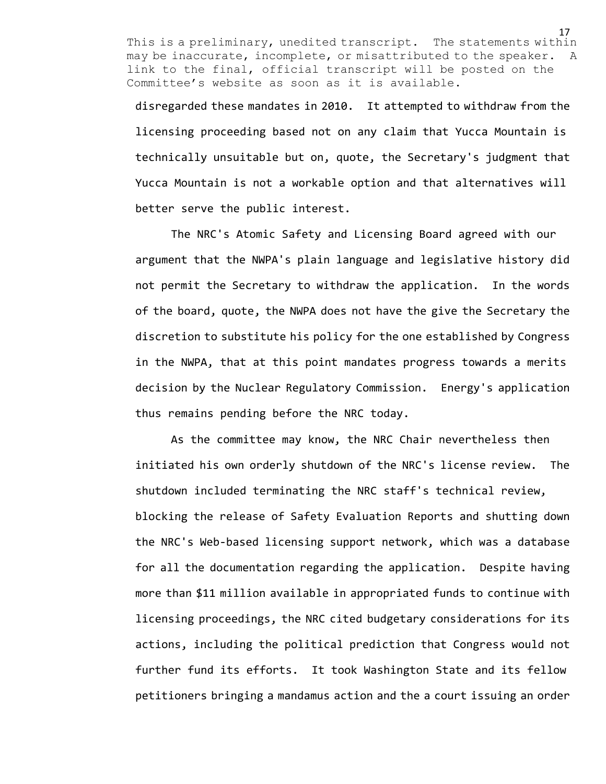disregarded these mandates in 2010. It attempted to withdraw from the licensing proceeding based not on any claim that Yucca Mountain is technically unsuitable but on, quote, the Secretary's judgment that Yucca Mountain is not a workable option and that alternatives will better serve the public interest.

The NRC's Atomic Safety and Licensing Board agreed with our argument that the NWPA's plain language and legislative history did not permit the Secretary to withdraw the application. In the words of the board, quote, the NWPA does not have the give the Secretary the discretion to substitute his policy for the one established by Congress in the NWPA, that at this point mandates progress towards a merits decision by the Nuclear Regulatory Commission. Energy's application thus remains pending before the NRC today.

As the committee may know, the NRC Chair nevertheless then initiated his own orderly shutdown of the NRC's license review. The shutdown included terminating the NRC staff's technical review, blocking the release of Safety Evaluation Reports and shutting down the NRC's Web-based licensing support network, which was a database for all the documentation regarding the application. Despite having more than \$11 million available in appropriated funds to continue with licensing proceedings, the NRC cited budgetary considerations for its actions, including the political prediction that Congress would not further fund its efforts. It took Washington State and its fellow petitioners bringing a mandamus action and the a court issuing an order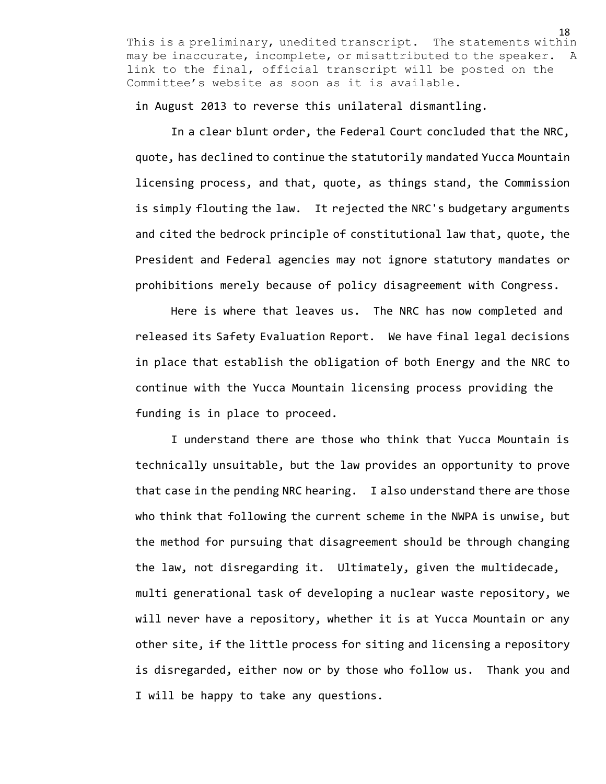in August 2013 to reverse this unilateral dismantling.

In a clear blunt order, the Federal Court concluded that the NRC, quote, has declined to continue the statutorily mandated Yucca Mountain licensing process, and that, quote, as things stand, the Commission is simply flouting the law. It rejected the NRC's budgetary arguments and cited the bedrock principle of constitutional law that, quote, the President and Federal agencies may not ignore statutory mandates or prohibitions merely because of policy disagreement with Congress.

Here is where that leaves us. The NRC has now completed and released its Safety Evaluation Report. We have final legal decisions in place that establish the obligation of both Energy and the NRC to continue with the Yucca Mountain licensing process providing the funding is in place to proceed.

I understand there are those who think that Yucca Mountain is technically unsuitable, but the law provides an opportunity to prove that case in the pending NRC hearing. I also understand there are those who think that following the current scheme in the NWPA is unwise, but the method for pursuing that disagreement should be through changing the law, not disregarding it. Ultimately, given the multidecade, multi generational task of developing a nuclear waste repository, we will never have a repository, whether it is at Yucca Mountain or any other site, if the little process for siting and licensing a repository is disregarded, either now or by those who follow us. Thank you and I will be happy to take any questions.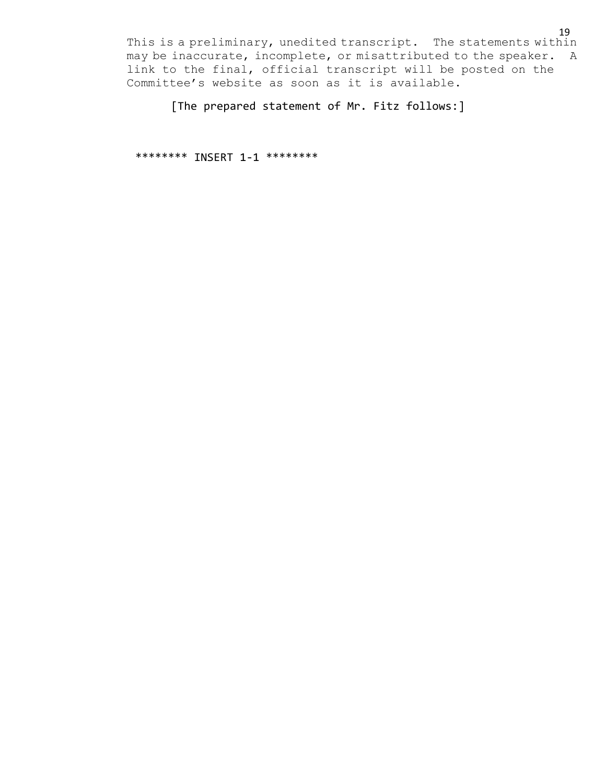[The prepared statement of Mr. Fitz follows:]

\*\*\*\*\*\*\*\* INSERT 1-1 \*\*\*\*\*\*\*\*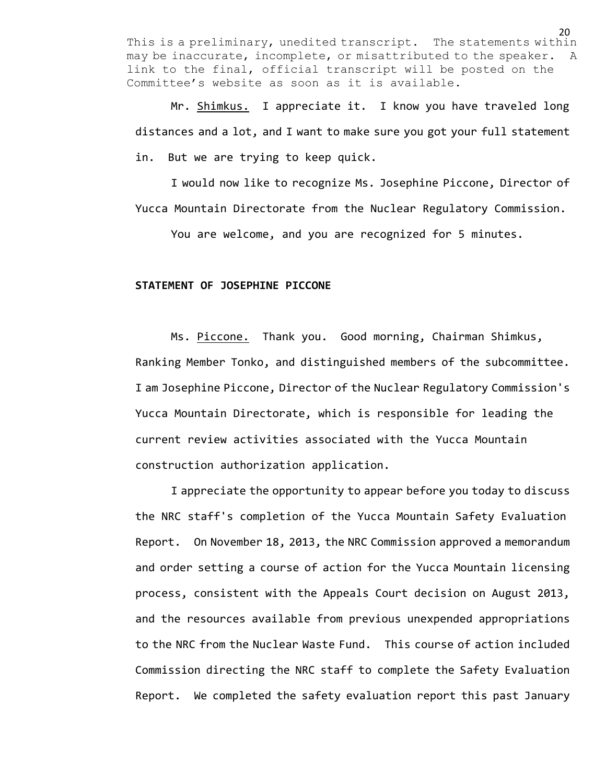Mr. Shimkus. I appreciate it. I know you have traveled long distances and a lot, and I want to make sure you got your full statement in. But we are trying to keep quick.

I would now like to recognize Ms. Josephine Piccone, Director of Yucca Mountain Directorate from the Nuclear Regulatory Commission.

You are welcome, and you are recognized for 5 minutes.

## **STATEMENT OF JOSEPHINE PICCONE**

Ms. Piccone. Thank you. Good morning, Chairman Shimkus, Ranking Member Tonko, and distinguished members of the subcommittee. I am Josephine Piccone, Director of the Nuclear Regulatory Commission's Yucca Mountain Directorate, which is responsible for leading the current review activities associated with the Yucca Mountain construction authorization application.

I appreciate the opportunity to appear before you today to discuss the NRC staff's completion of the Yucca Mountain Safety Evaluation Report. On November 18, 2013, the NRC Commission approved a memorandum and order setting a course of action for the Yucca Mountain licensing process, consistent with the Appeals Court decision on August 2013, and the resources available from previous unexpended appropriations to the NRC from the Nuclear Waste Fund. This course of action included Commission directing the NRC staff to complete the Safety Evaluation Report. We completed the safety evaluation report this past January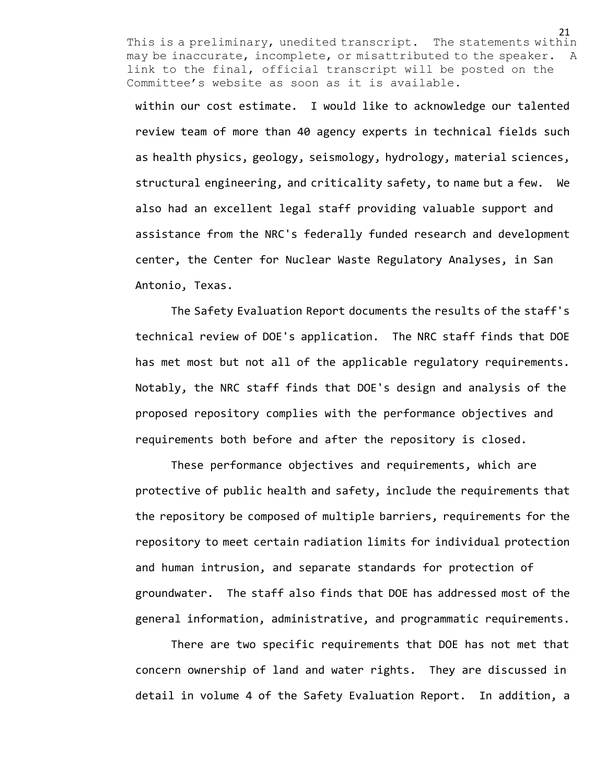within our cost estimate. I would like to acknowledge our talented review team of more than 40 agency experts in technical fields such as health physics, geology, seismology, hydrology, material sciences, structural engineering, and criticality safety, to name but a few. We also had an excellent legal staff providing valuable support and assistance from the NRC's federally funded research and development center, the Center for Nuclear Waste Regulatory Analyses, in San Antonio, Texas.

The Safety Evaluation Report documents the results of the staff's technical review of DOE's application. The NRC staff finds that DOE has met most but not all of the applicable regulatory requirements. Notably, the NRC staff finds that DOE's design and analysis of the proposed repository complies with the performance objectives and requirements both before and after the repository is closed.

These performance objectives and requirements, which are protective of public health and safety, include the requirements that the repository be composed of multiple barriers, requirements for the repository to meet certain radiation limits for individual protection and human intrusion, and separate standards for protection of groundwater. The staff also finds that DOE has addressed most of the general information, administrative, and programmatic requirements.

There are two specific requirements that DOE has not met that concern ownership of land and water rights. They are discussed in detail in volume 4 of the Safety Evaluation Report. In addition, a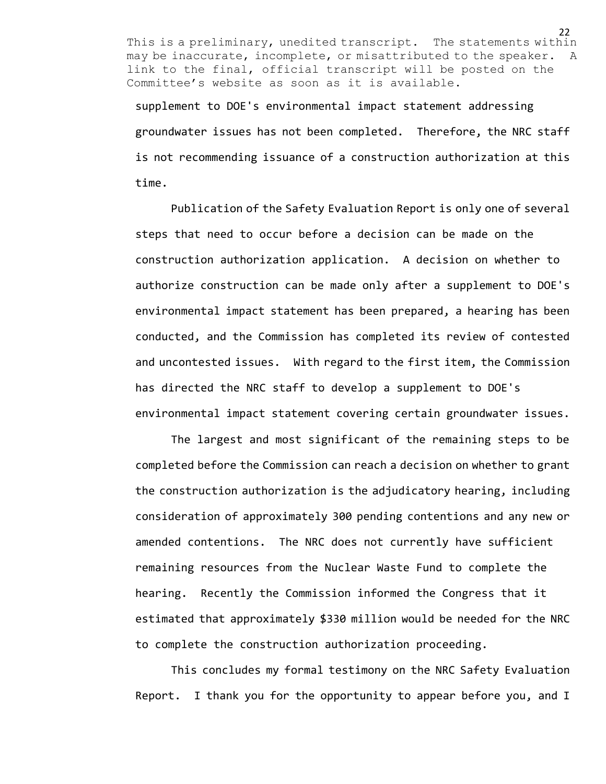supplement to DOE's environmental impact statement addressing groundwater issues has not been completed. Therefore, the NRC staff is not recommending issuance of a construction authorization at this time.

Publication of the Safety Evaluation Report is only one of several steps that need to occur before a decision can be made on the construction authorization application. A decision on whether to authorize construction can be made only after a supplement to DOE's environmental impact statement has been prepared, a hearing has been conducted, and the Commission has completed its review of contested and uncontested issues. With regard to the first item, the Commission has directed the NRC staff to develop a supplement to DOE's environmental impact statement covering certain groundwater issues.

The largest and most significant of the remaining steps to be completed before the Commission can reach a decision on whether to grant the construction authorization is the adjudicatory hearing, including consideration of approximately 300 pending contentions and any new or amended contentions. The NRC does not currently have sufficient remaining resources from the Nuclear Waste Fund to complete the hearing. Recently the Commission informed the Congress that it estimated that approximately \$330 million would be needed for the NRC to complete the construction authorization proceeding.

This concludes my formal testimony on the NRC Safety Evaluation Report. I thank you for the opportunity to appear before you, and I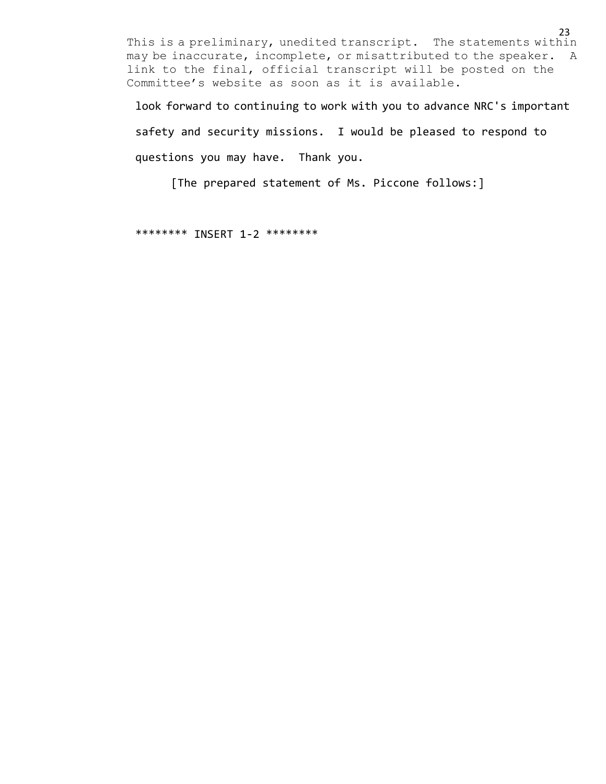look forward to continuing to work with you to advance NRC's important

safety and security missions. I would be pleased to respond to questions you may have. Thank you.

[The prepared statement of Ms. Piccone follows:]

\*\*\*\*\*\*\*\* INSERT 1-2 \*\*\*\*\*\*\*\*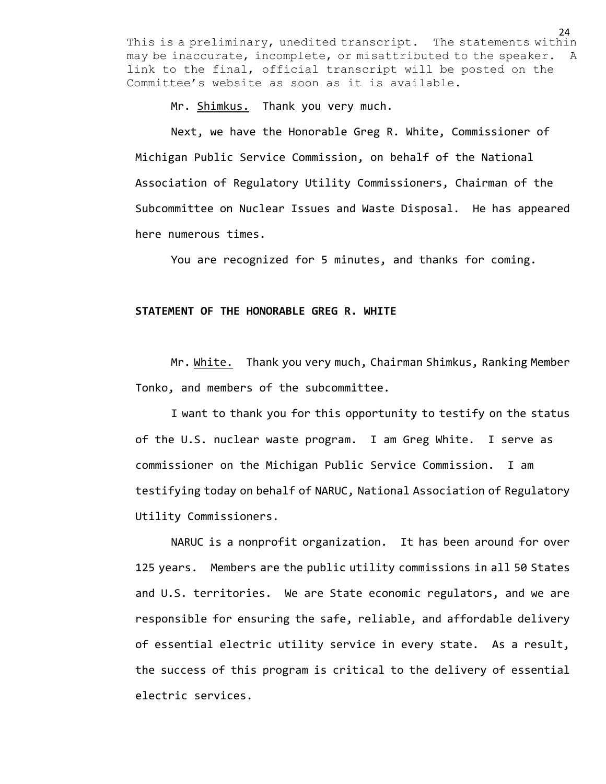Mr. Shimkus. Thank you very much.

Next, we have the Honorable Greg R. White, Commissioner of Michigan Public Service Commission, on behalf of the National Association of Regulatory Utility Commissioners, Chairman of the Subcommittee on Nuclear Issues and Waste Disposal. He has appeared here numerous times.

You are recognized for 5 minutes, and thanks for coming.

# **STATEMENT OF THE HONORABLE GREG R. WHITE**

Mr. White. Thank you very much, Chairman Shimkus, Ranking Member Tonko, and members of the subcommittee.

I want to thank you for this opportunity to testify on the status of the U.S. nuclear waste program. I am Greg White. I serve as commissioner on the Michigan Public Service Commission. I am testifying today on behalf of NARUC, National Association of Regulatory Utility Commissioners.

NARUC is a nonprofit organization. It has been around for over 125 years. Members are the public utility commissions in all 50 States and U.S. territories. We are State economic regulators, and we are responsible for ensuring the safe, reliable, and affordable delivery of essential electric utility service in every state. As a result, the success of this program is critical to the delivery of essential electric services.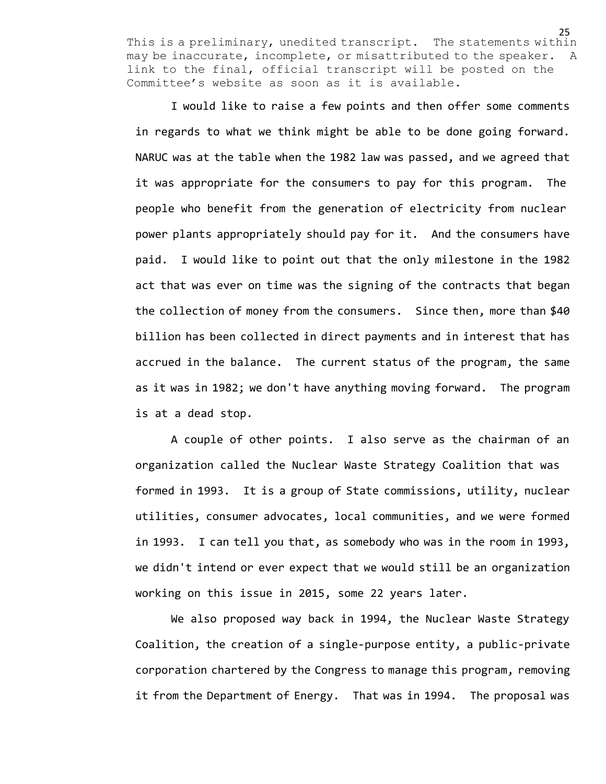I would like to raise a few points and then offer some comments in regards to what we think might be able to be done going forward. NARUC was at the table when the 1982 law was passed, and we agreed that it was appropriate for the consumers to pay for this program. The people who benefit from the generation of electricity from nuclear power plants appropriately should pay for it. And the consumers have paid. I would like to point out that the only milestone in the 1982 act that was ever on time was the signing of the contracts that began the collection of money from the consumers. Since then, more than \$40 billion has been collected in direct payments and in interest that has accrued in the balance. The current status of the program, the same as it was in 1982; we don't have anything moving forward. The program is at a dead stop.

A couple of other points. I also serve as the chairman of an organization called the Nuclear Waste Strategy Coalition that was formed in 1993. It is a group of State commissions, utility, nuclear utilities, consumer advocates, local communities, and we were formed in 1993. I can tell you that, as somebody who was in the room in 1993, we didn't intend or ever expect that we would still be an organization working on this issue in 2015, some 22 years later.

We also proposed way back in 1994, the Nuclear Waste Strategy Coalition, the creation of a single-purpose entity, a public-private corporation chartered by the Congress to manage this program, removing it from the Department of Energy. That was in 1994. The proposal was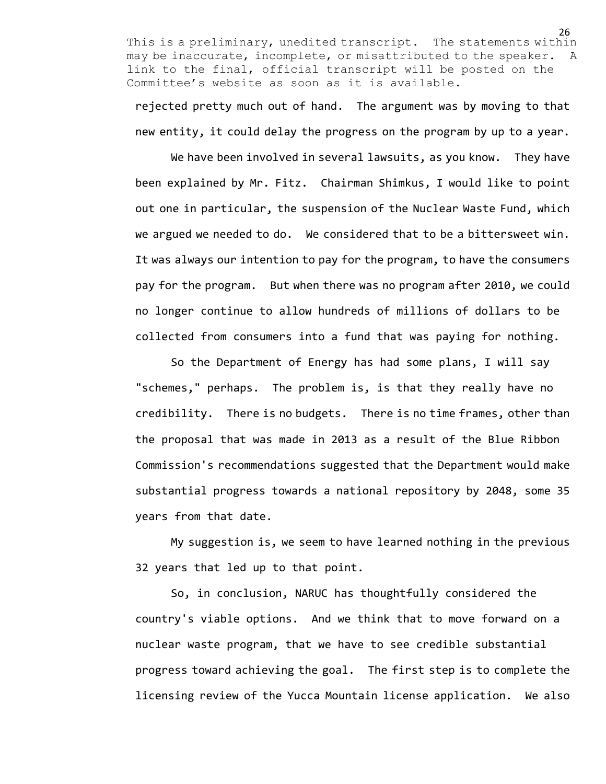rejected pretty much out of hand. The argument was by moving to that new entity, it could delay the progress on the program by up to a year.

We have been involved in several lawsuits, as you know. They have been explained by Mr. Fitz. Chairman Shimkus, I would like to point out one in particular, the suspension of the Nuclear Waste Fund, which we argued we needed to do. We considered that to be a bittersweet win. It was always our intention to pay for the program, to have the consumers pay for the program. But when there was no program after 2010, we could no longer continue to allow hundreds of millions of dollars to be collected from consumers into a fund that was paying for nothing.

So the Department of Energy has had some plans, I will say "schemes," perhaps. The problem is, is that they really have no credibility. There is no budgets. There is no time frames, other than the proposal that was made in 2013 as a result of the Blue Ribbon Commission's recommendations suggested that the Department would make substantial progress towards a national repository by 2048, some 35 years from that date.

My suggestion is, we seem to have learned nothing in the previous 32 years that led up to that point.

So, in conclusion, NARUC has thoughtfully considered the country's viable options. And we think that to move forward on a nuclear waste program, that we have to see credible substantial progress toward achieving the goal. The first step is to complete the licensing review of the Yucca Mountain license application. We also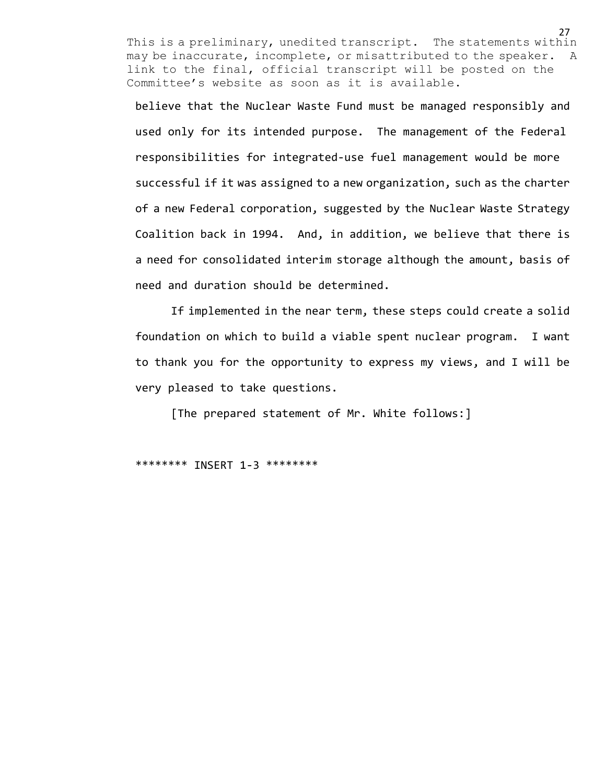believe that the Nuclear Waste Fund must be managed responsibly and used only for its intended purpose. The management of the Federal responsibilities for integrated-use fuel management would be more successful if it was assigned to a new organization, such as the charter of a new Federal corporation, suggested by the Nuclear Waste Strategy Coalition back in 1994. And, in addition, we believe that there is a need for consolidated interim storage although the amount, basis of need and duration should be determined.

If implemented in the near term, these steps could create a solid foundation on which to build a viable spent nuclear program. I want to thank you for the opportunity to express my views, and I will be very pleased to take questions.

[The prepared statement of Mr. White follows:]

\*\*\*\*\*\*\*\* INSERT 1-3 \*\*\*\*\*\*\*\*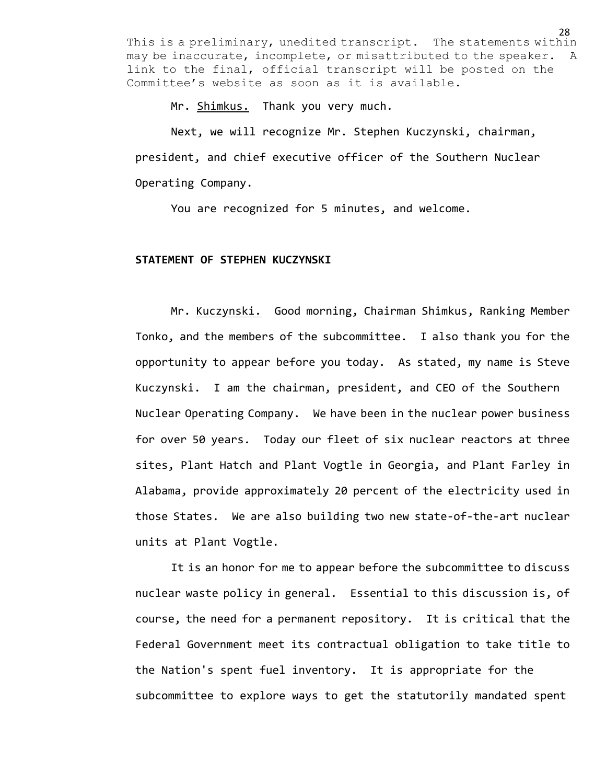Mr. Shimkus. Thank you very much.

Next, we will recognize Mr. Stephen Kuczynski, chairman, president, and chief executive officer of the Southern Nuclear Operating Company.

You are recognized for 5 minutes, and welcome.

### **STATEMENT OF STEPHEN KUCZYNSKI**

Mr. Kuczynski. Good morning, Chairman Shimkus, Ranking Member Tonko, and the members of the subcommittee. I also thank you for the opportunity to appear before you today. As stated, my name is Steve Kuczynski. I am the chairman, president, and CEO of the Southern Nuclear Operating Company. We have been in the nuclear power business for over 50 years. Today our fleet of six nuclear reactors at three sites, Plant Hatch and Plant Vogtle in Georgia, and Plant Farley in Alabama, provide approximately 20 percent of the electricity used in those States. We are also building two new state-of-the-art nuclear units at Plant Vogtle.

It is an honor for me to appear before the subcommittee to discuss nuclear waste policy in general. Essential to this discussion is, of course, the need for a permanent repository. It is critical that the Federal Government meet its contractual obligation to take title to the Nation's spent fuel inventory. It is appropriate for the subcommittee to explore ways to get the statutorily mandated spent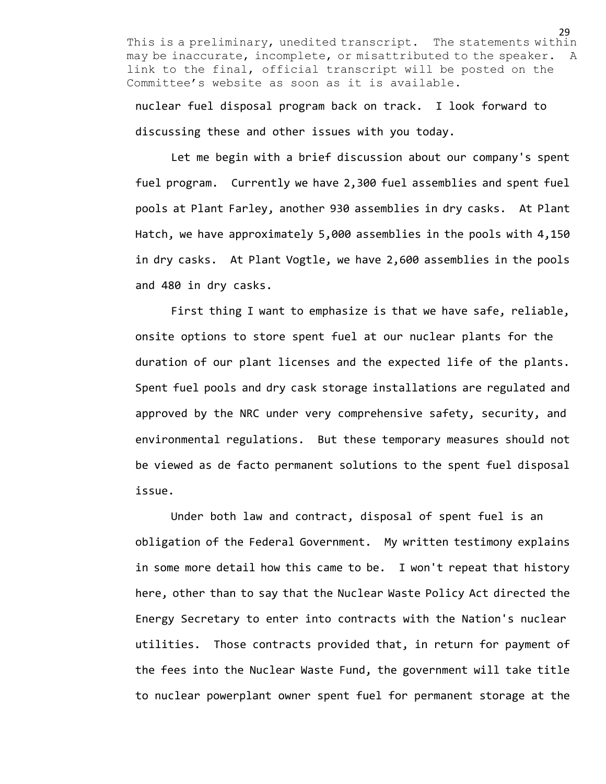nuclear fuel disposal program back on track. I look forward to discussing these and other issues with you today.

Let me begin with a brief discussion about our company's spent fuel program. Currently we have 2,300 fuel assemblies and spent fuel pools at Plant Farley, another 930 assemblies in dry casks. At Plant Hatch, we have approximately 5,000 assemblies in the pools with 4,150 in dry casks. At Plant Vogtle, we have 2,600 assemblies in the pools and 480 in dry casks.

First thing I want to emphasize is that we have safe, reliable, onsite options to store spent fuel at our nuclear plants for the duration of our plant licenses and the expected life of the plants. Spent fuel pools and dry cask storage installations are regulated and approved by the NRC under very comprehensive safety, security, and environmental regulations. But these temporary measures should not be viewed as de facto permanent solutions to the spent fuel disposal issue.

Under both law and contract, disposal of spent fuel is an obligation of the Federal Government. My written testimony explains in some more detail how this came to be. I won't repeat that history here, other than to say that the Nuclear Waste Policy Act directed the Energy Secretary to enter into contracts with the Nation's nuclear utilities. Those contracts provided that, in return for payment of the fees into the Nuclear Waste Fund, the government will take title to nuclear powerplant owner spent fuel for permanent storage at the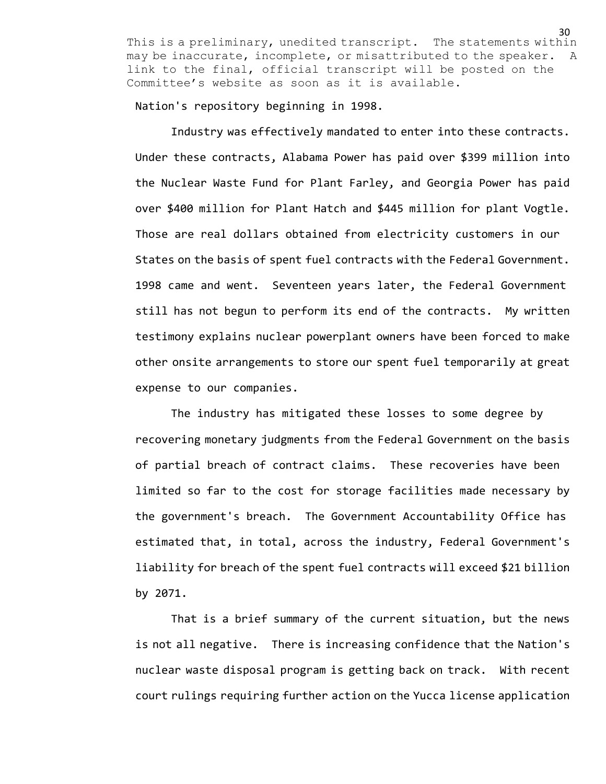Nation's repository beginning in 1998.

Industry was effectively mandated to enter into these contracts. Under these contracts, Alabama Power has paid over \$399 million into the Nuclear Waste Fund for Plant Farley, and Georgia Power has paid over \$400 million for Plant Hatch and \$445 million for plant Vogtle. Those are real dollars obtained from electricity customers in our States on the basis of spent fuel contracts with the Federal Government. 1998 came and went. Seventeen years later, the Federal Government still has not begun to perform its end of the contracts. My written testimony explains nuclear powerplant owners have been forced to make other onsite arrangements to store our spent fuel temporarily at great expense to our companies.

The industry has mitigated these losses to some degree by recovering monetary judgments from the Federal Government on the basis of partial breach of contract claims. These recoveries have been limited so far to the cost for storage facilities made necessary by the government's breach. The Government Accountability Office has estimated that, in total, across the industry, Federal Government's liability for breach of the spent fuel contracts will exceed \$21 billion by 2071.

That is a brief summary of the current situation, but the news is not all negative. There is increasing confidence that the Nation's nuclear waste disposal program is getting back on track. With recent court rulings requiring further action on the Yucca license application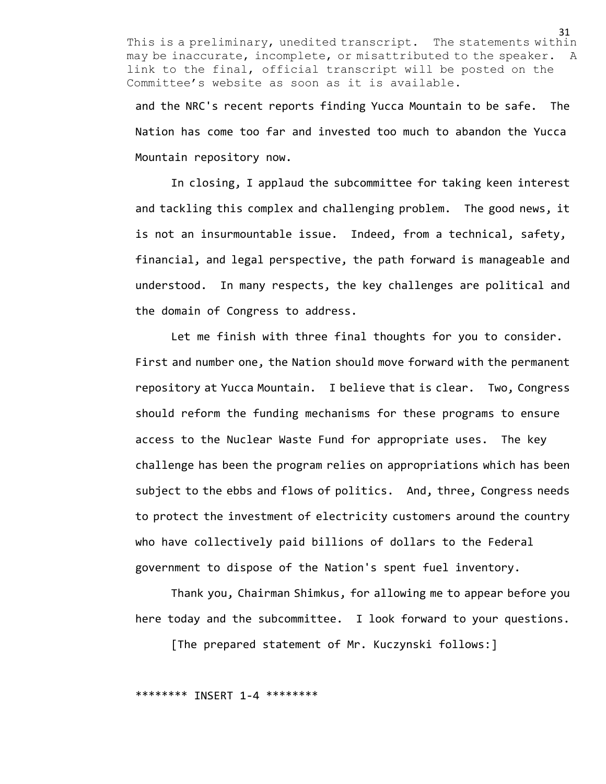and the NRC's recent reports finding Yucca Mountain to be safe. The Nation has come too far and invested too much to abandon the Yucca Mountain repository now.

In closing, I applaud the subcommittee for taking keen interest and tackling this complex and challenging problem. The good news, it is not an insurmountable issue. Indeed, from a technical, safety, financial, and legal perspective, the path forward is manageable and understood. In many respects, the key challenges are political and the domain of Congress to address.

Let me finish with three final thoughts for you to consider. First and number one, the Nation should move forward with the permanent repository at Yucca Mountain. I believe that is clear. Two, Congress should reform the funding mechanisms for these programs to ensure access to the Nuclear Waste Fund for appropriate uses. The key challenge has been the program relies on appropriations which has been subject to the ebbs and flows of politics. And, three, Congress needs to protect the investment of electricity customers around the country who have collectively paid billions of dollars to the Federal government to dispose of the Nation's spent fuel inventory.

Thank you, Chairman Shimkus, for allowing me to appear before you here today and the subcommittee. I look forward to your questions.

[The prepared statement of Mr. Kuczynski follows:]

\*\*\*\*\*\*\*\* INSERT 1-4 \*\*\*\*\*\*\*\*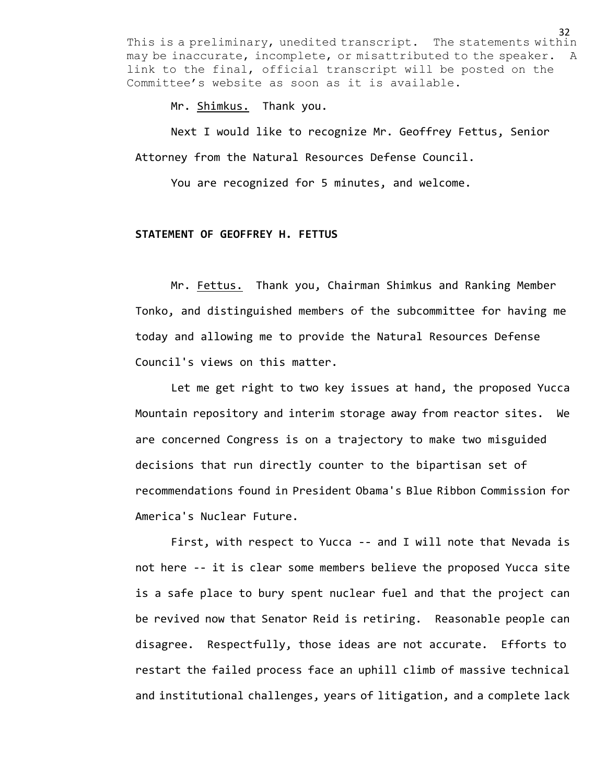Mr. Shimkus. Thank you.

Next I would like to recognize Mr. Geoffrey Fettus, Senior Attorney from the Natural Resources Defense Council.

You are recognized for 5 minutes, and welcome.

# **STATEMENT OF GEOFFREY H. FETTUS**

Mr. Fettus. Thank you, Chairman Shimkus and Ranking Member Tonko, and distinguished members of the subcommittee for having me today and allowing me to provide the Natural Resources Defense Council's views on this matter.

Let me get right to two key issues at hand, the proposed Yucca Mountain repository and interim storage away from reactor sites. We are concerned Congress is on a trajectory to make two misguided decisions that run directly counter to the bipartisan set of recommendations found in President Obama's Blue Ribbon Commission for America's Nuclear Future.

First, with respect to Yucca -- and I will note that Nevada is not here -- it is clear some members believe the proposed Yucca site is a safe place to bury spent nuclear fuel and that the project can be revived now that Senator Reid is retiring. Reasonable people can disagree. Respectfully, those ideas are not accurate. Efforts to restart the failed process face an uphill climb of massive technical and institutional challenges, years of litigation, and a complete lack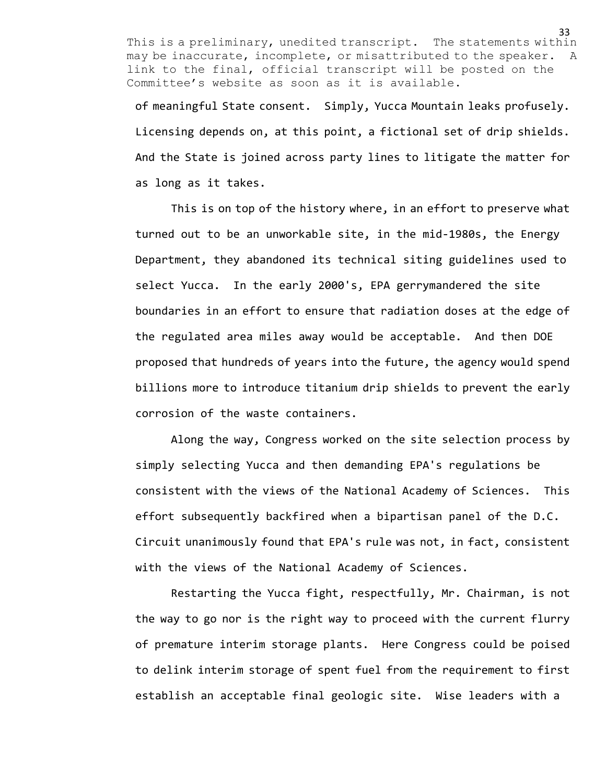of meaningful State consent. Simply, Yucca Mountain leaks profusely. Licensing depends on, at this point, a fictional set of drip shields. And the State is joined across party lines to litigate the matter for as long as it takes.

This is on top of the history where, in an effort to preserve what turned out to be an unworkable site, in the mid-1980s, the Energy Department, they abandoned its technical siting guidelines used to select Yucca. In the early 2000's, EPA gerrymandered the site boundaries in an effort to ensure that radiation doses at the edge of the regulated area miles away would be acceptable. And then DOE proposed that hundreds of years into the future, the agency would spend billions more to introduce titanium drip shields to prevent the early corrosion of the waste containers.

Along the way, Congress worked on the site selection process by simply selecting Yucca and then demanding EPA's regulations be consistent with the views of the National Academy of Sciences. This effort subsequently backfired when a bipartisan panel of the D.C. Circuit unanimously found that EPA's rule was not, in fact, consistent with the views of the National Academy of Sciences.

Restarting the Yucca fight, respectfully, Mr. Chairman, is not the way to go nor is the right way to proceed with the current flurry of premature interim storage plants. Here Congress could be poised to delink interim storage of spent fuel from the requirement to first establish an acceptable final geologic site. Wise leaders with a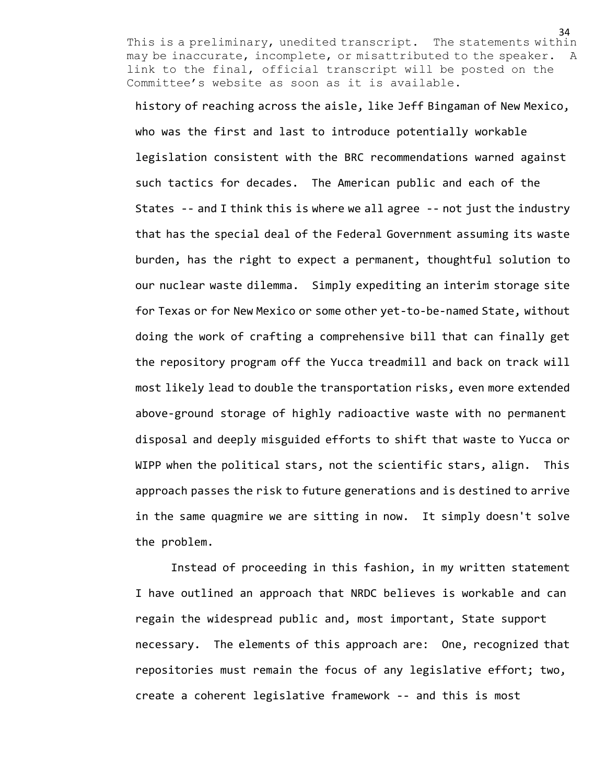history of reaching across the aisle, like Jeff Bingaman of New Mexico, who was the first and last to introduce potentially workable legislation consistent with the BRC recommendations warned against such tactics for decades. The American public and each of the States -- and I think this is where we all agree -- not just the industry that has the special deal of the Federal Government assuming its waste burden, has the right to expect a permanent, thoughtful solution to our nuclear waste dilemma. Simply expediting an interim storage site for Texas or for New Mexico or some other yet-to-be-named State, without doing the work of crafting a comprehensive bill that can finally get the repository program off the Yucca treadmill and back on track will most likely lead to double the transportation risks, even more extended above-ground storage of highly radioactive waste with no permanent disposal and deeply misguided efforts to shift that waste to Yucca or WIPP when the political stars, not the scientific stars, align. This approach passes the risk to future generations and is destined to arrive in the same quagmire we are sitting in now. It simply doesn't solve the problem.

Instead of proceeding in this fashion, in my written statement I have outlined an approach that NRDC believes is workable and can regain the widespread public and, most important, State support necessary. The elements of this approach are: One, recognized that repositories must remain the focus of any legislative effort; two, create a coherent legislative framework -- and this is most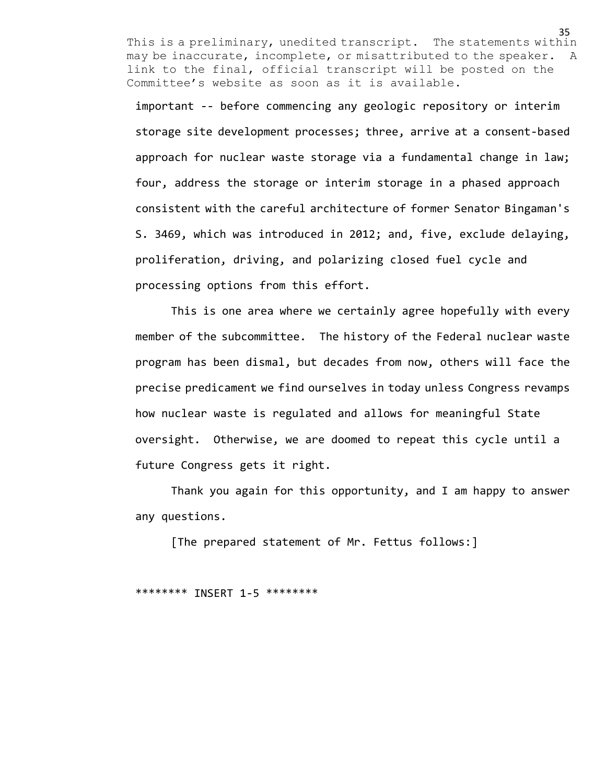important -- before commencing any geologic repository or interim storage site development processes; three, arrive at a consent-based approach for nuclear waste storage via a fundamental change in law; four, address the storage or interim storage in a phased approach consistent with the careful architecture of former Senator Bingaman's S. 3469, which was introduced in 2012; and, five, exclude delaying, proliferation, driving, and polarizing closed fuel cycle and processing options from this effort.

This is one area where we certainly agree hopefully with every member of the subcommittee. The history of the Federal nuclear waste program has been dismal, but decades from now, others will face the precise predicament we find ourselves in today unless Congress revamps how nuclear waste is regulated and allows for meaningful State oversight. Otherwise, we are doomed to repeat this cycle until a future Congress gets it right.

Thank you again for this opportunity, and I am happy to answer any questions.

[The prepared statement of Mr. Fettus follows:]

\*\*\*\*\*\*\*\* INSERT 1-5 \*\*\*\*\*\*\*\*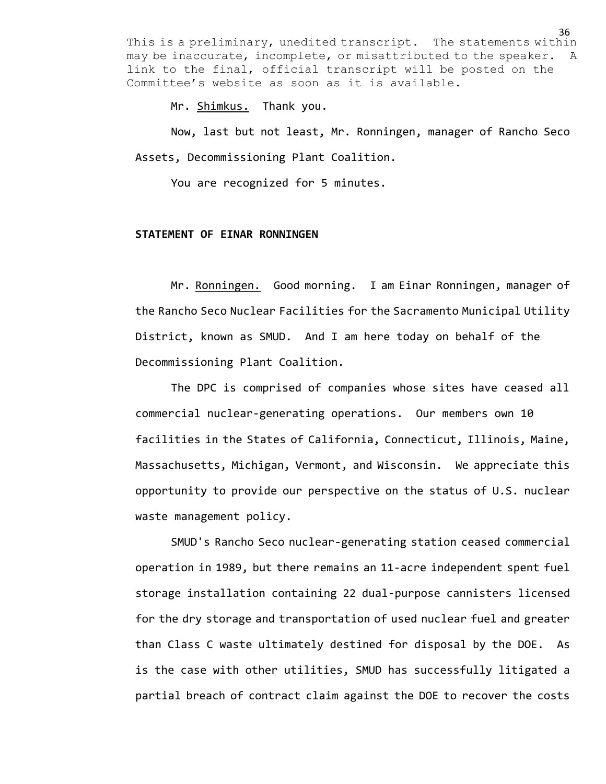Mr. Shimkus. Thank you.

Now, last but not least, Mr. Ronningen, manager of Rancho Seco Assets, Decommissioning Plant Coalition.

You are recognized for 5 minutes.

## **STATEMENT OF EINAR RONNINGEN**

Mr. Ronningen. Good morning. I am Einar Ronningen, manager of the Rancho Seco Nuclear Facilities for the Sacramento Municipal Utility District, known as SMUD. And I am here today on behalf of the Decommissioning Plant Coalition.

The DPC is comprised of companies whose sites have ceased all commercial nuclear-generating operations. Our members own 10 facilities in the States of California, Connecticut, Illinois, Maine, Massachusetts, Michigan, Vermont, and Wisconsin. We appreciate this opportunity to provide our perspective on the status of U.S. nuclear waste management policy.

SMUD's Rancho Seco nuclear-generating station ceased commercial operation in 1989, but there remains an 11-acre independent spent fuel storage installation containing 22 dual-purpose cannisters licensed for the dry storage and transportation of used nuclear fuel and greater than Class C waste ultimately destined for disposal by the DOE. As is the case with other utilities, SMUD has successfully litigated a partial breach of contract claim against the DOE to recover the costs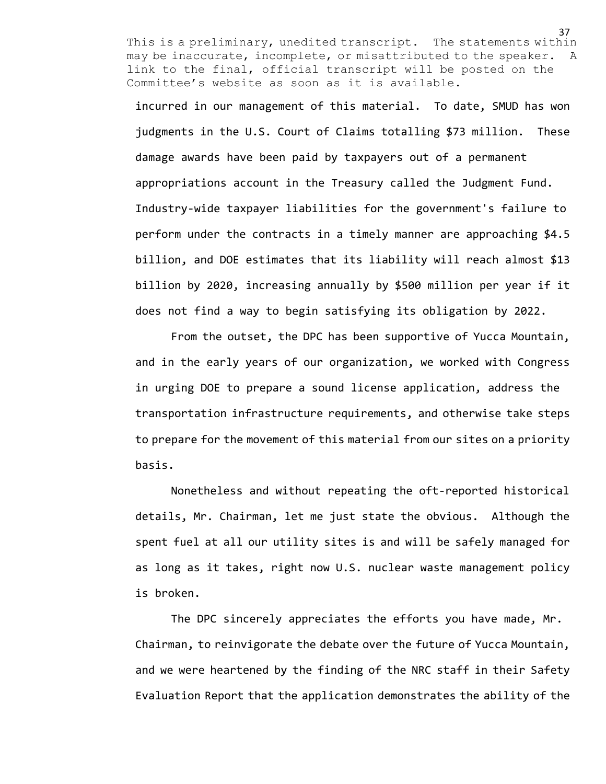incurred in our management of this material. To date, SMUD has won judgments in the U.S. Court of Claims totalling \$73 million. These damage awards have been paid by taxpayers out of a permanent appropriations account in the Treasury called the Judgment Fund. Industry-wide taxpayer liabilities for the government's failure to perform under the contracts in a timely manner are approaching \$4.5 billion, and DOE estimates that its liability will reach almost \$13 billion by 2020, increasing annually by \$500 million per year if it does not find a way to begin satisfying its obligation by 2022.

From the outset, the DPC has been supportive of Yucca Mountain, and in the early years of our organization, we worked with Congress in urging DOE to prepare a sound license application, address the transportation infrastructure requirements, and otherwise take steps to prepare for the movement of this material from our sites on a priority basis.

Nonetheless and without repeating the oft-reported historical details, Mr. Chairman, let me just state the obvious. Although the spent fuel at all our utility sites is and will be safely managed for as long as it takes, right now U.S. nuclear waste management policy is broken.

The DPC sincerely appreciates the efforts you have made, Mr. Chairman, to reinvigorate the debate over the future of Yucca Mountain, and we were heartened by the finding of the NRC staff in their Safety Evaluation Report that the application demonstrates the ability of the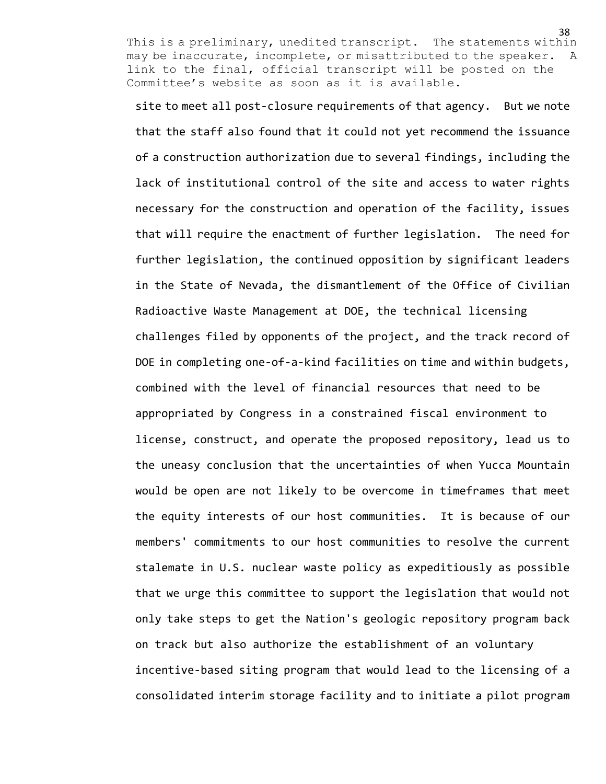site to meet all post-closure requirements of that agency. But we note that the staff also found that it could not yet recommend the issuance of a construction authorization due to several findings, including the lack of institutional control of the site and access to water rights necessary for the construction and operation of the facility, issues that will require the enactment of further legislation. The need for further legislation, the continued opposition by significant leaders in the State of Nevada, the dismantlement of the Office of Civilian Radioactive Waste Management at DOE, the technical licensing challenges filed by opponents of the project, and the track record of DOE in completing one-of-a-kind facilities on time and within budgets, combined with the level of financial resources that need to be appropriated by Congress in a constrained fiscal environment to license, construct, and operate the proposed repository, lead us to the uneasy conclusion that the uncertainties of when Yucca Mountain would be open are not likely to be overcome in timeframes that meet the equity interests of our host communities. It is because of our members' commitments to our host communities to resolve the current stalemate in U.S. nuclear waste policy as expeditiously as possible that we urge this committee to support the legislation that would not only take steps to get the Nation's geologic repository program back on track but also authorize the establishment of an voluntary incentive-based siting program that would lead to the licensing of a consolidated interim storage facility and to initiate a pilot program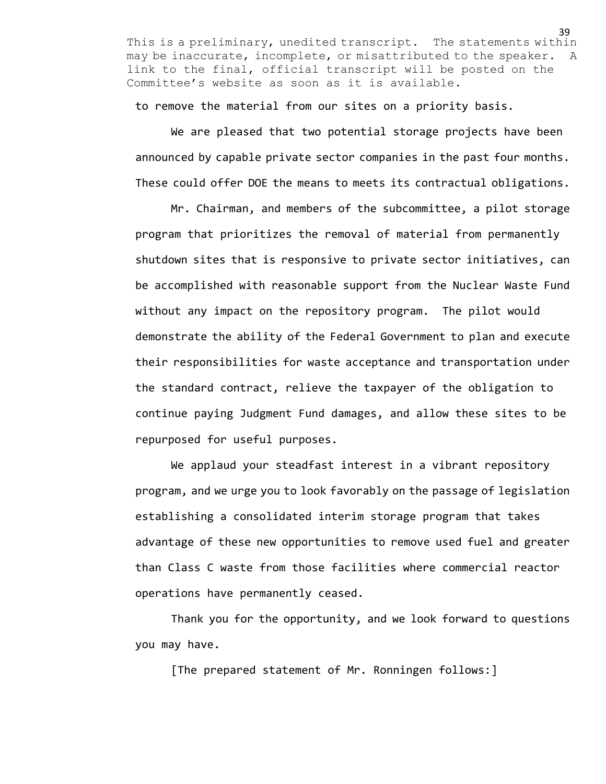to remove the material from our sites on a priority basis.

We are pleased that two potential storage projects have been announced by capable private sector companies in the past four months. These could offer DOE the means to meets its contractual obligations.

Mr. Chairman, and members of the subcommittee, a pilot storage program that prioritizes the removal of material from permanently shutdown sites that is responsive to private sector initiatives, can be accomplished with reasonable support from the Nuclear Waste Fund without any impact on the repository program. The pilot would demonstrate the ability of the Federal Government to plan and execute their responsibilities for waste acceptance and transportation under the standard contract, relieve the taxpayer of the obligation to continue paying Judgment Fund damages, and allow these sites to be repurposed for useful purposes.

We applaud your steadfast interest in a vibrant repository program, and we urge you to look favorably on the passage of legislation establishing a consolidated interim storage program that takes advantage of these new opportunities to remove used fuel and greater than Class C waste from those facilities where commercial reactor operations have permanently ceased.

Thank you for the opportunity, and we look forward to questions you may have.

[The prepared statement of Mr. Ronningen follows:]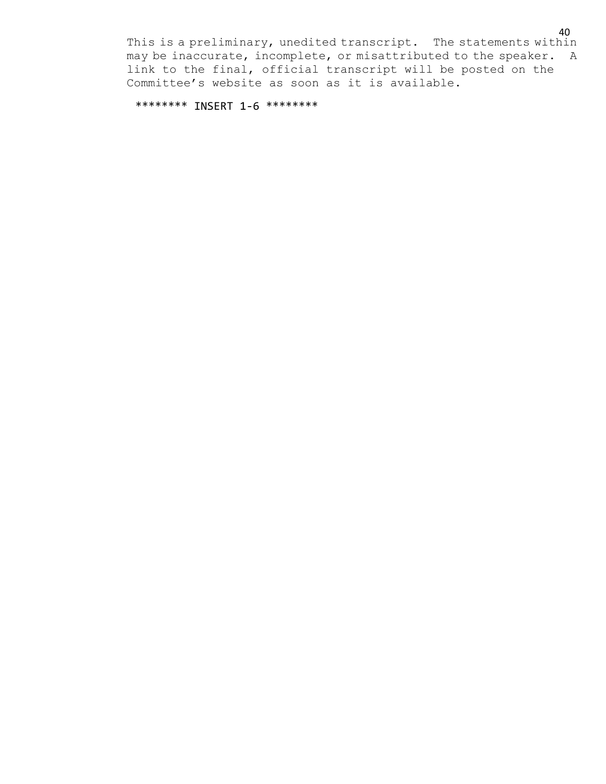\*\*\*\*\*\*\*\* INSERT 1-6 \*\*\*\*\*\*\*\*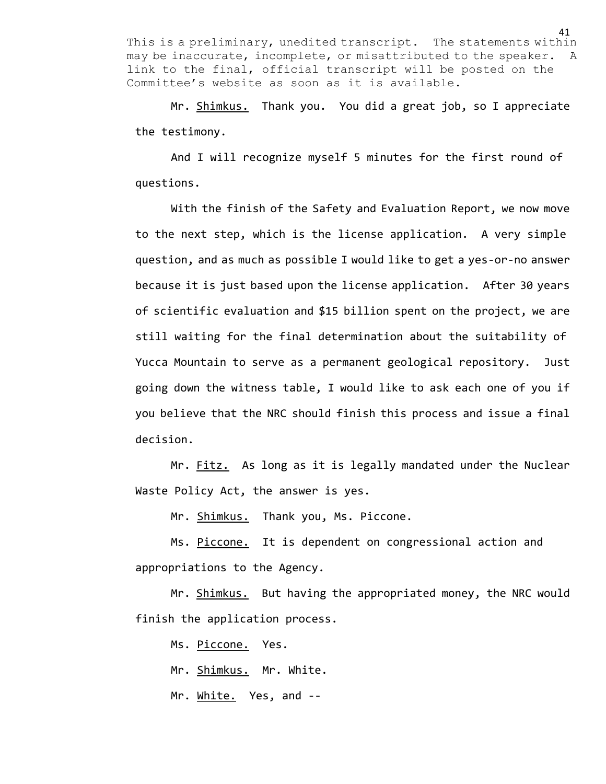Mr. Shimkus. Thank you. You did a great job, so I appreciate the testimony.

And I will recognize myself 5 minutes for the first round of questions.

With the finish of the Safety and Evaluation Report, we now move to the next step, which is the license application. A very simple question, and as much as possible I would like to get a yes-or-no answer because it is just based upon the license application. After 30 years of scientific evaluation and \$15 billion spent on the project, we are still waiting for the final determination about the suitability of Yucca Mountain to serve as a permanent geological repository. Just going down the witness table, I would like to ask each one of you if you believe that the NRC should finish this process and issue a final decision.

Mr. Fitz. As long as it is legally mandated under the Nuclear Waste Policy Act, the answer is yes.

Mr. Shimkus. Thank you, Ms. Piccone.

Ms. Piccone. It is dependent on congressional action and appropriations to the Agency.

Mr. Shimkus. But having the appropriated money, the NRC would finish the application process.

Ms. Piccone. Yes.

Mr. Shimkus. Mr. White.

Mr. White. Yes, and --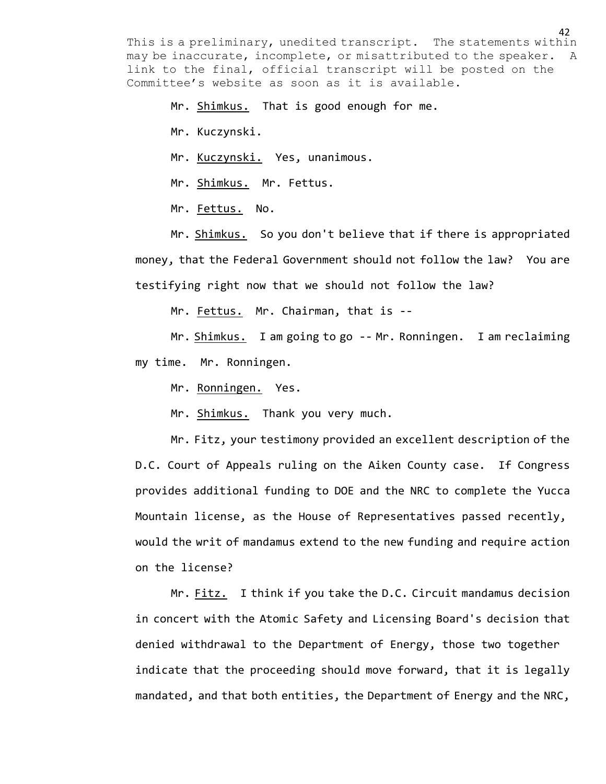Mr. Shimkus. That is good enough for me.

Mr. Kuczynski.

Mr. Kuczynski. Yes, unanimous.

Mr. Shimkus. Mr. Fettus.

Mr. Fettus. No.

Mr. Shimkus. So you don't believe that if there is appropriated money, that the Federal Government should not follow the law? You are testifying right now that we should not follow the law?

Mr. Fettus. Mr. Chairman, that is --

Mr. Shimkus. I am going to go -- Mr. Ronningen. I am reclaiming my time. Mr. Ronningen.

Mr. Ronningen. Yes.

Mr. Shimkus. Thank you very much.

Mr. Fitz, your testimony provided an excellent description of the D.C. Court of Appeals ruling on the Aiken County case. If Congress provides additional funding to DOE and the NRC to complete the Yucca Mountain license, as the House of Representatives passed recently, would the writ of mandamus extend to the new funding and require action on the license?

Mr. Fitz. I think if you take the D.C. Circuit mandamus decision in concert with the Atomic Safety and Licensing Board's decision that denied withdrawal to the Department of Energy, those two together indicate that the proceeding should move forward, that it is legally mandated, and that both entities, the Department of Energy and the NRC,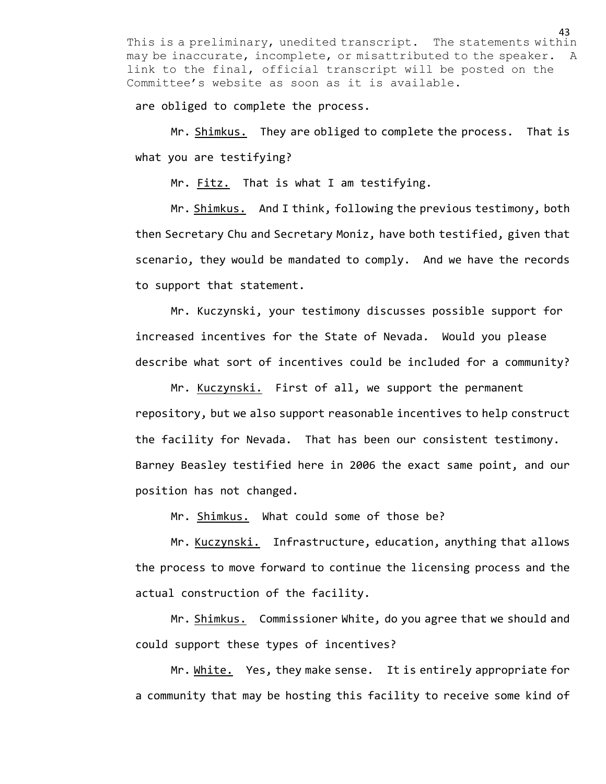are obliged to complete the process.

Mr. Shimkus. They are obliged to complete the process. That is what you are testifying?

Mr. Fitz. That is what I am testifying.

Mr. Shimkus. And I think, following the previous testimony, both then Secretary Chu and Secretary Moniz, have both testified, given that scenario, they would be mandated to comply. And we have the records to support that statement.

Mr. Kuczynski, your testimony discusses possible support for increased incentives for the State of Nevada. Would you please describe what sort of incentives could be included for a community?

Mr. Kuczynski. First of all, we support the permanent repository, but we also support reasonable incentives to help construct the facility for Nevada. That has been our consistent testimony. Barney Beasley testified here in 2006 the exact same point, and our position has not changed.

Mr. Shimkus. What could some of those be?

Mr. Kuczynski. Infrastructure, education, anything that allows the process to move forward to continue the licensing process and the actual construction of the facility.

Mr. Shimkus. Commissioner White, do you agree that we should and could support these types of incentives?

Mr. White. Yes, they make sense. It is entirely appropriate for a community that may be hosting this facility to receive some kind of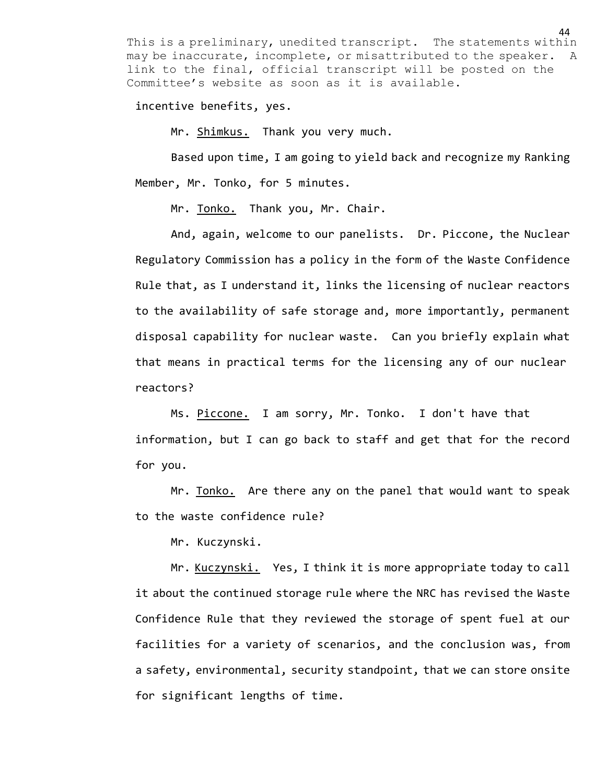incentive benefits, yes.

Mr. Shimkus. Thank you very much.

Based upon time, I am going to yield back and recognize my Ranking Member, Mr. Tonko, for 5 minutes.

Mr. Tonko. Thank you, Mr. Chair.

And, again, welcome to our panelists. Dr. Piccone, the Nuclear Regulatory Commission has a policy in the form of the Waste Confidence Rule that, as I understand it, links the licensing of nuclear reactors to the availability of safe storage and, more importantly, permanent disposal capability for nuclear waste. Can you briefly explain what that means in practical terms for the licensing any of our nuclear reactors?

Ms. Piccone. I am sorry, Mr. Tonko. I don't have that information, but I can go back to staff and get that for the record for you.

Mr. Tonko. Are there any on the panel that would want to speak to the waste confidence rule?

Mr. Kuczynski.

Mr. Kuczynski. Yes, I think it is more appropriate today to call it about the continued storage rule where the NRC has revised the Waste Confidence Rule that they reviewed the storage of spent fuel at our facilities for a variety of scenarios, and the conclusion was, from a safety, environmental, security standpoint, that we can store onsite for significant lengths of time.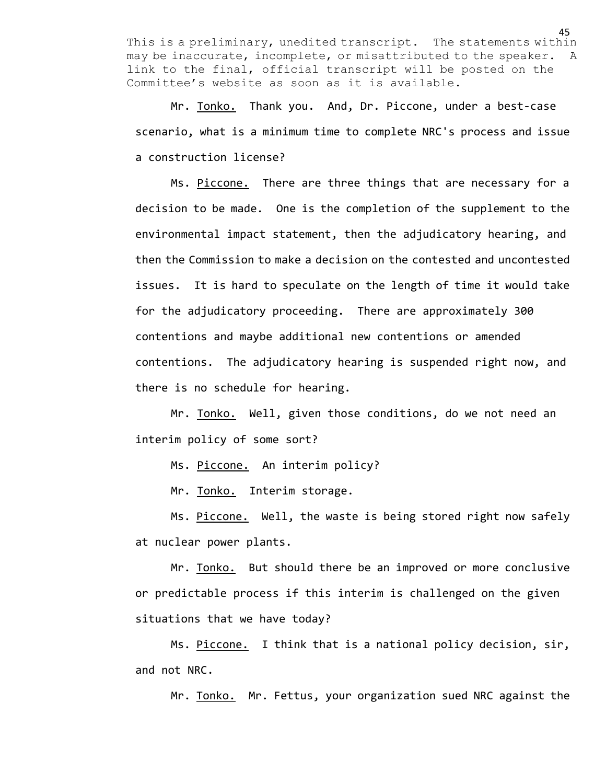Mr. Tonko. Thank you. And, Dr. Piccone, under a best-case scenario, what is a minimum time to complete NRC's process and issue a construction license?

Ms. Piccone. There are three things that are necessary for a decision to be made. One is the completion of the supplement to the environmental impact statement, then the adjudicatory hearing, and then the Commission to make a decision on the contested and uncontested issues. It is hard to speculate on the length of time it would take for the adjudicatory proceeding. There are approximately 300 contentions and maybe additional new contentions or amended contentions. The adjudicatory hearing is suspended right now, and there is no schedule for hearing.

Mr. Tonko. Well, given those conditions, do we not need an interim policy of some sort?

Ms. Piccone. An interim policy?

Mr. Tonko. Interim storage.

Ms. Piccone. Well, the waste is being stored right now safely at nuclear power plants.

Mr. Tonko. But should there be an improved or more conclusive or predictable process if this interim is challenged on the given situations that we have today?

Ms. Piccone. I think that is a national policy decision, sir, and not NRC.

Mr. Tonko. Mr. Fettus, your organization sued NRC against the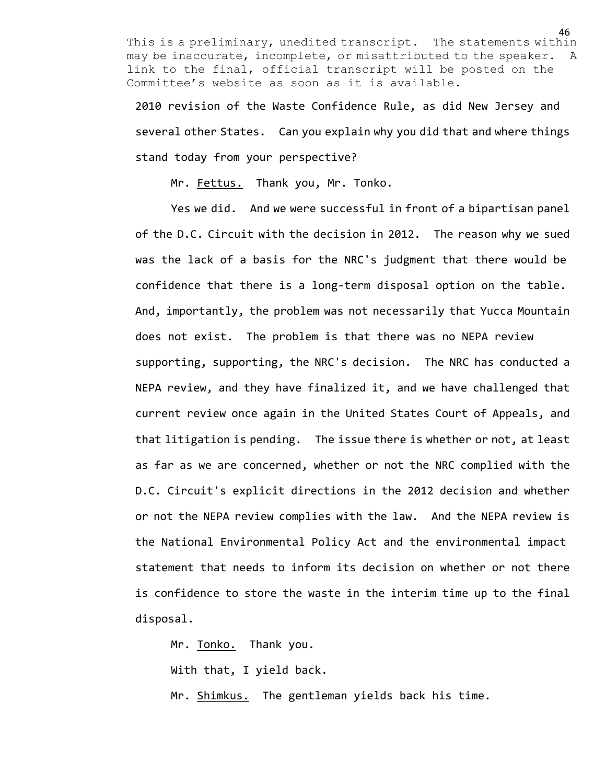2010 revision of the Waste Confidence Rule, as did New Jersey and several other States. Can you explain why you did that and where things stand today from your perspective?

Mr. Fettus. Thank you, Mr. Tonko.

Yes we did. And we were successful in front of a bipartisan panel of the D.C. Circuit with the decision in 2012. The reason why we sued was the lack of a basis for the NRC's judgment that there would be confidence that there is a long-term disposal option on the table. And, importantly, the problem was not necessarily that Yucca Mountain does not exist. The problem is that there was no NEPA review supporting, supporting, the NRC's decision. The NRC has conducted a NEPA review, and they have finalized it, and we have challenged that current review once again in the United States Court of Appeals, and that litigation is pending. The issue there is whether or not, at least as far as we are concerned, whether or not the NRC complied with the D.C. Circuit's explicit directions in the 2012 decision and whether or not the NEPA review complies with the law. And the NEPA review is the National Environmental Policy Act and the environmental impact statement that needs to inform its decision on whether or not there is confidence to store the waste in the interim time up to the final disposal.

Mr. Tonko. Thank you. With that, I yield back. Mr. Shimkus. The gentleman yields back his time.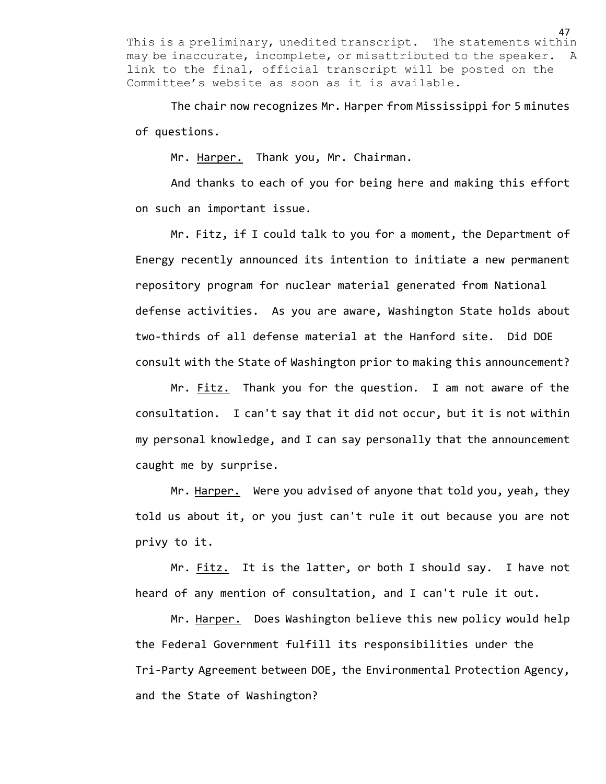The chair now recognizes Mr. Harper from Mississippi for 5 minutes of questions.

Mr. Harper. Thank you, Mr. Chairman.

And thanks to each of you for being here and making this effort on such an important issue.

Mr. Fitz, if I could talk to you for a moment, the Department of Energy recently announced its intention to initiate a new permanent repository program for nuclear material generated from National defense activities. As you are aware, Washington State holds about two-thirds of all defense material at the Hanford site. Did DOE consult with the State of Washington prior to making this announcement?

Mr. Fitz. Thank you for the question. I am not aware of the consultation. I can't say that it did not occur, but it is not within my personal knowledge, and I can say personally that the announcement caught me by surprise.

Mr. Harper. Were you advised of anyone that told you, yeah, they told us about it, or you just can't rule it out because you are not privy to it.

Mr. Fitz. It is the latter, or both I should say. I have not heard of any mention of consultation, and I can't rule it out.

Mr. Harper. Does Washington believe this new policy would help the Federal Government fulfill its responsibilities under the Tri-Party Agreement between DOE, the Environmental Protection Agency, and the State of Washington?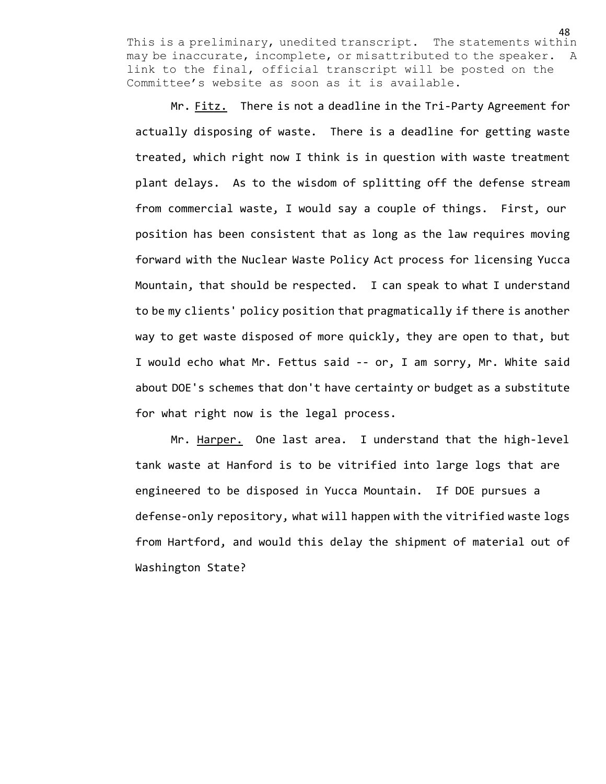Mr. Fitz. There is not a deadline in the Tri-Party Agreement for actually disposing of waste. There is a deadline for getting waste treated, which right now I think is in question with waste treatment plant delays. As to the wisdom of splitting off the defense stream from commercial waste, I would say a couple of things. First, our position has been consistent that as long as the law requires moving forward with the Nuclear Waste Policy Act process for licensing Yucca Mountain, that should be respected. I can speak to what I understand to be my clients' policy position that pragmatically if there is another way to get waste disposed of more quickly, they are open to that, but I would echo what Mr. Fettus said -- or, I am sorry, Mr. White said about DOE's schemes that don't have certainty or budget as a substitute for what right now is the legal process.

Mr. Harper. One last area. I understand that the high-level tank waste at Hanford is to be vitrified into large logs that are engineered to be disposed in Yucca Mountain. If DOE pursues a defense-only repository, what will happen with the vitrified waste logs from Hartford, and would this delay the shipment of material out of Washington State?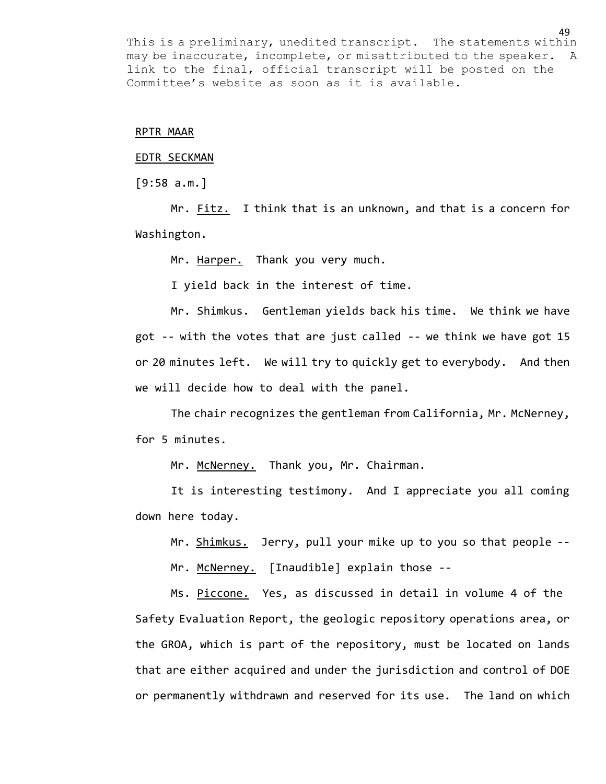### RPTR MAAR

# EDTR SECKMAN

 $[9:58 a.m.]$ 

Mr. Fitz. I think that is an unknown, and that is a concern for Washington.

Mr. Harper. Thank you very much.

I yield back in the interest of time.

Mr. Shimkus. Gentleman yields back his time. We think we have got -- with the votes that are just called -- we think we have got 15 or 20 minutes left. We will try to quickly get to everybody. And then we will decide how to deal with the panel.

The chair recognizes the gentleman from California, Mr. McNerney, for 5 minutes.

Mr. McNerney. Thank you, Mr. Chairman.

It is interesting testimony. And I appreciate you all coming down here today.

Mr. Shimkus. Jerry, pull your mike up to you so that people --

Mr. McNerney. [Inaudible] explain those --

Ms. Piccone. Yes, as discussed in detail in volume 4 of the Safety Evaluation Report, the geologic repository operations area, or the GROA, which is part of the repository, must be located on lands that are either acquired and under the jurisdiction and control of DOE or permanently withdrawn and reserved for its use. The land on which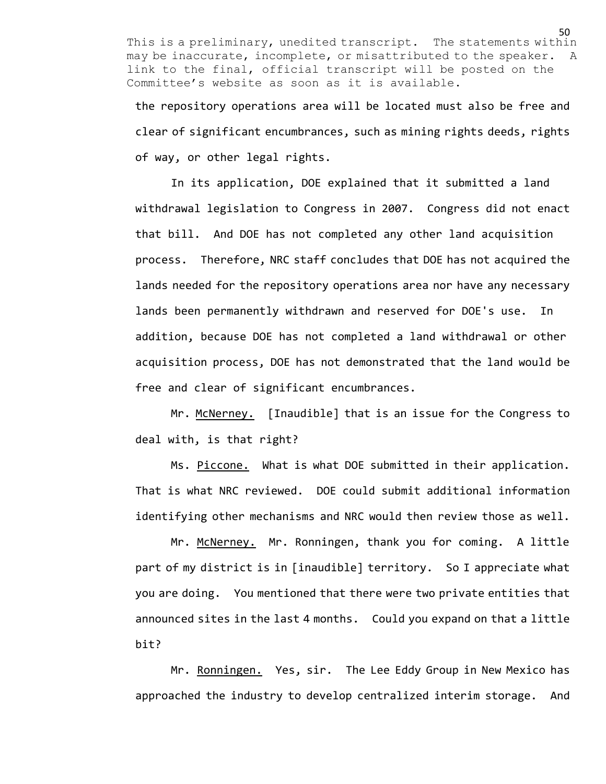the repository operations area will be located must also be free and clear of significant encumbrances, such as mining rights deeds, rights of way, or other legal rights.

In its application, DOE explained that it submitted a land withdrawal legislation to Congress in 2007. Congress did not enact that bill. And DOE has not completed any other land acquisition process. Therefore, NRC staff concludes that DOE has not acquired the lands needed for the repository operations area nor have any necessary lands been permanently withdrawn and reserved for DOE's use. In addition, because DOE has not completed a land withdrawal or other acquisition process, DOE has not demonstrated that the land would be free and clear of significant encumbrances.

Mr. McNerney. [Inaudible] that is an issue for the Congress to deal with, is that right?

Ms. Piccone. What is what DOE submitted in their application. That is what NRC reviewed. DOE could submit additional information identifying other mechanisms and NRC would then review those as well.

Mr. McNerney. Mr. Ronningen, thank you for coming. A little part of my district is in [inaudible] territory. So I appreciate what you are doing. You mentioned that there were two private entities that announced sites in the last 4 months. Could you expand on that a little bit?

Mr. Ronningen. Yes, sir. The Lee Eddy Group in New Mexico has approached the industry to develop centralized interim storage. And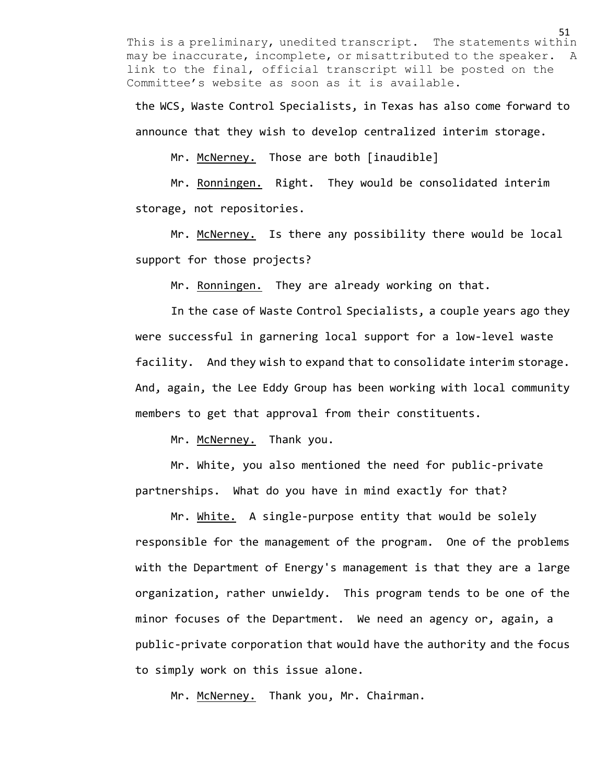the WCS, Waste Control Specialists, in Texas has also come forward to announce that they wish to develop centralized interim storage.

Mr. McNerney. Those are both [inaudible]

Mr. Ronningen. Right. They would be consolidated interim storage, not repositories.

Mr. McNerney. Is there any possibility there would be local support for those projects?

Mr. Ronningen. They are already working on that.

In the case of Waste Control Specialists, a couple years ago they were successful in garnering local support for a low-level waste facility. And they wish to expand that to consolidate interim storage. And, again, the Lee Eddy Group has been working with local community members to get that approval from their constituents.

Mr. McNerney. Thank you.

Mr. White, you also mentioned the need for public-private partnerships. What do you have in mind exactly for that?

Mr. White. A single-purpose entity that would be solely responsible for the management of the program. One of the problems with the Department of Energy's management is that they are a large organization, rather unwieldy. This program tends to be one of the minor focuses of the Department. We need an agency or, again, a public-private corporation that would have the authority and the focus to simply work on this issue alone.

Mr. McNerney. Thank you, Mr. Chairman.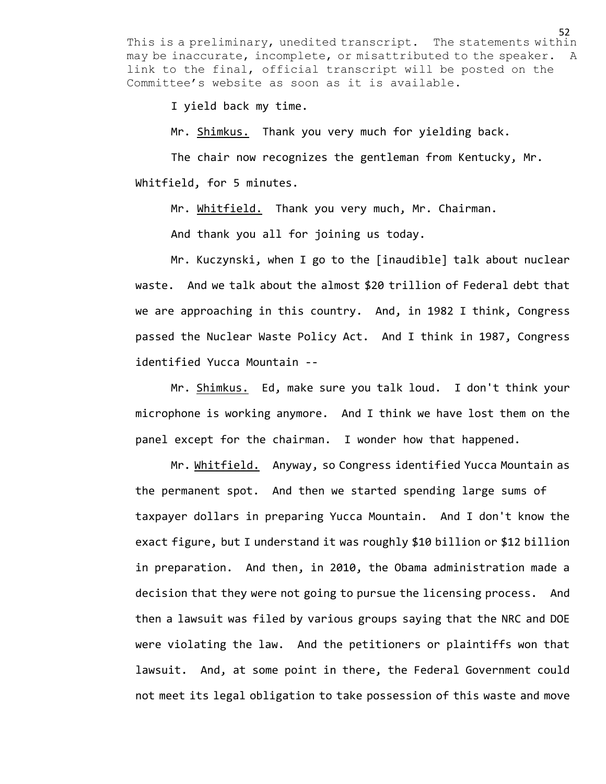I yield back my time.

Mr. Shimkus. Thank you very much for yielding back.

The chair now recognizes the gentleman from Kentucky, Mr. Whitfield, for 5 minutes.

Mr. Whitfield. Thank you very much, Mr. Chairman.

And thank you all for joining us today.

Mr. Kuczynski, when I go to the [inaudible] talk about nuclear waste. And we talk about the almost \$20 trillion of Federal debt that we are approaching in this country. And, in 1982 I think, Congress passed the Nuclear Waste Policy Act. And I think in 1987, Congress identified Yucca Mountain --

Mr. Shimkus. Ed, make sure you talk loud. I don't think your microphone is working anymore. And I think we have lost them on the panel except for the chairman. I wonder how that happened.

Mr. Whitfield. Anyway, so Congress identified Yucca Mountain as the permanent spot. And then we started spending large sums of taxpayer dollars in preparing Yucca Mountain. And I don't know the exact figure, but I understand it was roughly \$10 billion or \$12 billion in preparation. And then, in 2010, the Obama administration made a decision that they were not going to pursue the licensing process. And then a lawsuit was filed by various groups saying that the NRC and DOE were violating the law. And the petitioners or plaintiffs won that lawsuit. And, at some point in there, the Federal Government could not meet its legal obligation to take possession of this waste and move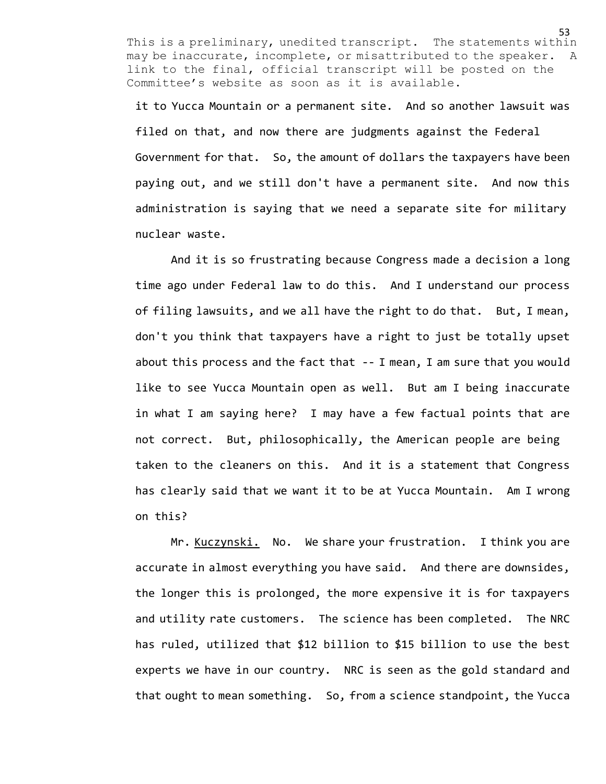it to Yucca Mountain or a permanent site. And so another lawsuit was filed on that, and now there are judgments against the Federal Government for that. So, the amount of dollars the taxpayers have been paying out, and we still don't have a permanent site. And now this administration is saying that we need a separate site for military nuclear waste.

And it is so frustrating because Congress made a decision a long time ago under Federal law to do this. And I understand our process of filing lawsuits, and we all have the right to do that. But, I mean, don't you think that taxpayers have a right to just be totally upset about this process and the fact that -- I mean, I am sure that you would like to see Yucca Mountain open as well. But am I being inaccurate in what I am saying here? I may have a few factual points that are not correct. But, philosophically, the American people are being taken to the cleaners on this. And it is a statement that Congress has clearly said that we want it to be at Yucca Mountain. Am I wrong on this?

Mr. Kuczynski. No. We share your frustration. I think you are accurate in almost everything you have said. And there are downsides, the longer this is prolonged, the more expensive it is for taxpayers and utility rate customers. The science has been completed. The NRC has ruled, utilized that \$12 billion to \$15 billion to use the best experts we have in our country. NRC is seen as the gold standard and that ought to mean something. So, from a science standpoint, the Yucca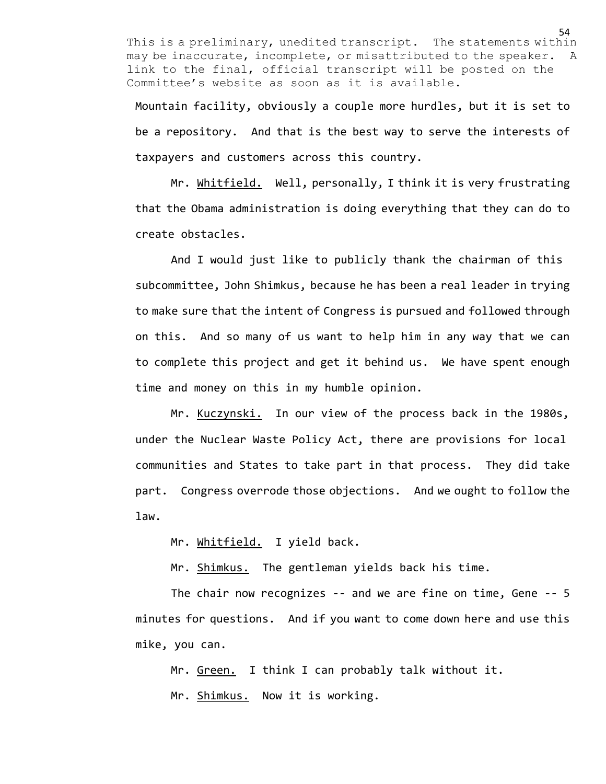Mountain facility, obviously a couple more hurdles, but it is set to be a repository. And that is the best way to serve the interests of taxpayers and customers across this country.

Mr. Whitfield. Well, personally, I think it is very frustrating that the Obama administration is doing everything that they can do to create obstacles.

And I would just like to publicly thank the chairman of this subcommittee, John Shimkus, because he has been a real leader in trying to make sure that the intent of Congress is pursued and followed through on this. And so many of us want to help him in any way that we can to complete this project and get it behind us. We have spent enough time and money on this in my humble opinion.

Mr. Kuczynski. In our view of the process back in the 1980s, under the Nuclear Waste Policy Act, there are provisions for local communities and States to take part in that process. They did take part. Congress overrode those objections. And we ought to follow the law.

Mr. Whitfield. I yield back.

Mr. Shimkus. The gentleman yields back his time.

The chair now recognizes -- and we are fine on time, Gene -- 5 minutes for questions. And if you want to come down here and use this mike, you can.

Mr. Green. I think I can probably talk without it. Mr. Shimkus. Now it is working.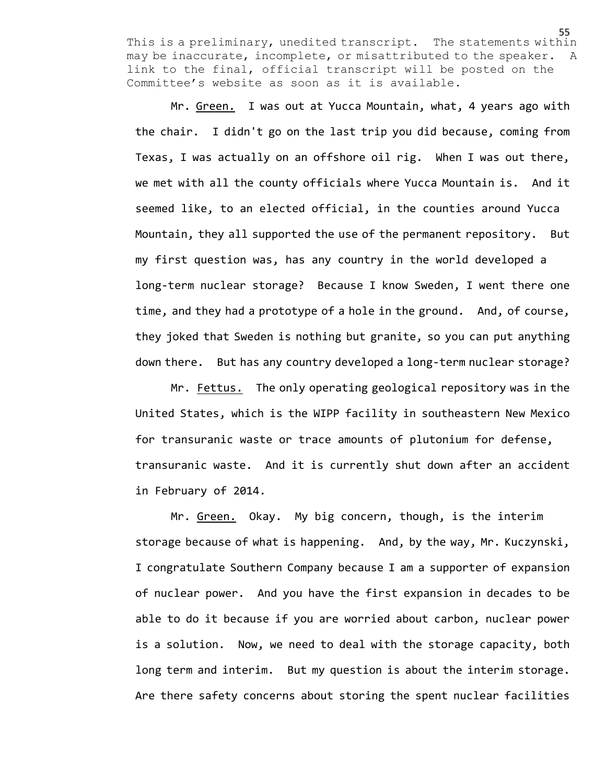Mr. Green. I was out at Yucca Mountain, what, 4 years ago with the chair. I didn't go on the last trip you did because, coming from Texas, I was actually on an offshore oil rig. When I was out there, we met with all the county officials where Yucca Mountain is. And it seemed like, to an elected official, in the counties around Yucca Mountain, they all supported the use of the permanent repository. But my first question was, has any country in the world developed a long-term nuclear storage? Because I know Sweden, I went there one time, and they had a prototype of a hole in the ground. And, of course, they joked that Sweden is nothing but granite, so you can put anything down there. But has any country developed a long-term nuclear storage?

Mr. Fettus. The only operating geological repository was in the United States, which is the WIPP facility in southeastern New Mexico for transuranic waste or trace amounts of plutonium for defense, transuranic waste. And it is currently shut down after an accident in February of 2014.

Mr. Green. Okay. My big concern, though, is the interim storage because of what is happening. And, by the way, Mr. Kuczynski, I congratulate Southern Company because I am a supporter of expansion of nuclear power. And you have the first expansion in decades to be able to do it because if you are worried about carbon, nuclear power is a solution. Now, we need to deal with the storage capacity, both long term and interim. But my question is about the interim storage. Are there safety concerns about storing the spent nuclear facilities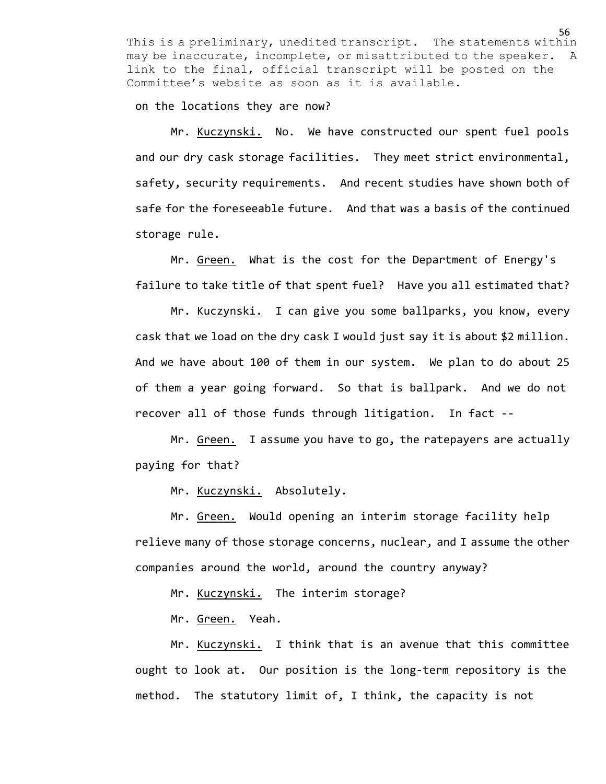on the locations they are now?

Mr. Kuczynski. No. We have constructed our spent fuel pools and our dry cask storage facilities. They meet strict environmental, safety, security requirements. And recent studies have shown both of safe for the foreseeable future. And that was a basis of the continued storage rule.

Mr. Green. What is the cost for the Department of Energy's failure to take title of that spent fuel? Have you all estimated that?

Mr. Kuczynski. I can give you some ballparks, you know, every cask that we load on the dry cask I would just say it is about \$2 million. And we have about 100 of them in our system. We plan to do about 25 of them a year going forward. So that is ballpark. And we do not recover all of those funds through litigation. In fact --

Mr. Green. I assume you have to go, the ratepayers are actually paying for that?

Mr. Kuczynski. Absolutely.

Mr. Green. Would opening an interim storage facility help relieve many of those storage concerns, nuclear, and I assume the other companies around the world, around the country anyway?

Mr. Kuczynski. The interim storage?

Mr. Green. Yeah.

Mr. Kuczynski. I think that is an avenue that this committee ought to look at. Our position is the long-term repository is the method. The statutory limit of, I think, the capacity is not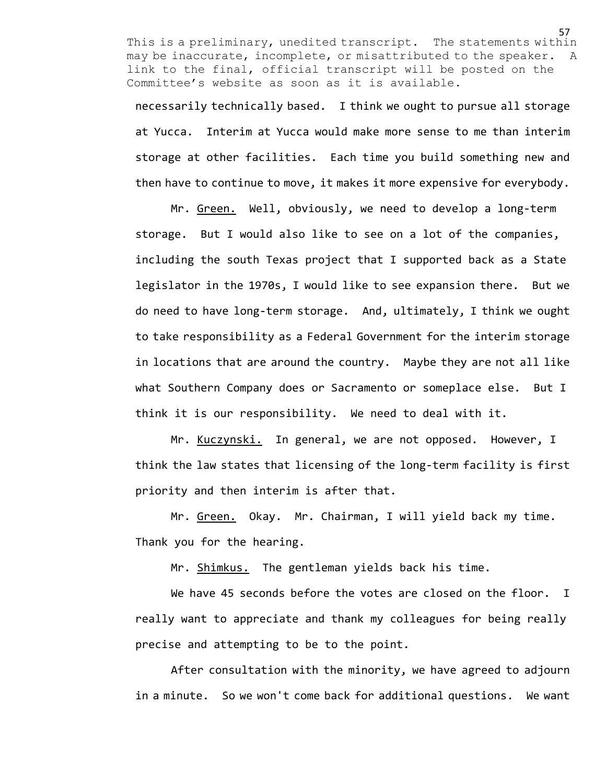necessarily technically based. I think we ought to pursue all storage at Yucca. Interim at Yucca would make more sense to me than interim storage at other facilities. Each time you build something new and then have to continue to move, it makes it more expensive for everybody.

Mr. Green. Well, obviously, we need to develop a long-term storage. But I would also like to see on a lot of the companies, including the south Texas project that I supported back as a State legislator in the 1970s, I would like to see expansion there. But we do need to have long-term storage. And, ultimately, I think we ought to take responsibility as a Federal Government for the interim storage in locations that are around the country. Maybe they are not all like what Southern Company does or Sacramento or someplace else. But I think it is our responsibility. We need to deal with it.

Mr. Kuczynski. In general, we are not opposed. However, I think the law states that licensing of the long-term facility is first priority and then interim is after that.

Mr. Green. Okay. Mr. Chairman, I will yield back my time. Thank you for the hearing.

Mr. Shimkus. The gentleman yields back his time.

We have 45 seconds before the votes are closed on the floor. I really want to appreciate and thank my colleagues for being really precise and attempting to be to the point.

After consultation with the minority, we have agreed to adjourn in a minute. So we won't come back for additional questions. We want